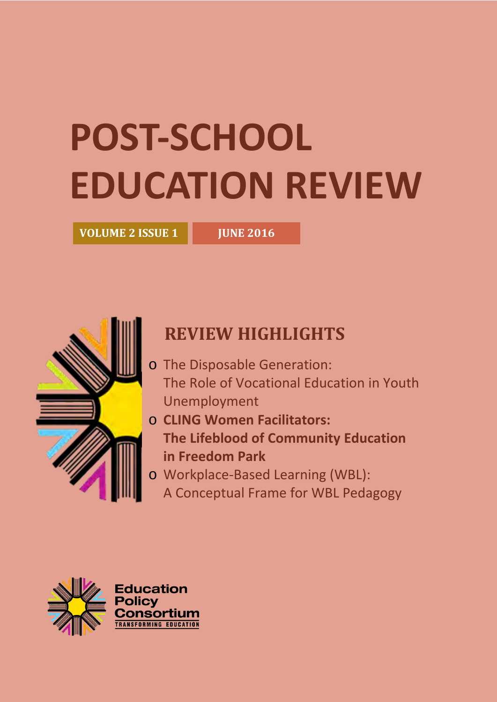# **POST-SCHOOL EDUCATION REVIEW**

# **VOLUME 2 ISSUE 1**

**JUNE 2016**



# **REVIEW HIGHLIGHTS**

- o The Disposable Generation: The Role of Vocational Education in Youth Unemployment
- o **CLING Women Facilitators: The Lifeblood of Community Education in Freedom Park**
- o Workplace-Based Learning (WBL):
	- A Conceptual Frame for WBL Pedagogy

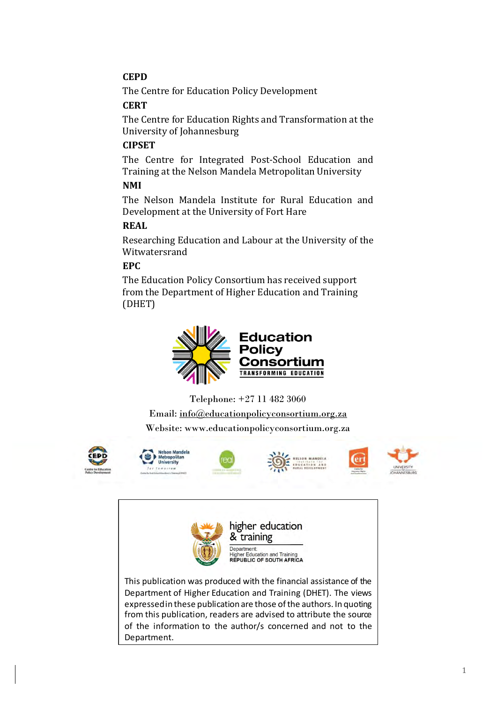### **CEPD**

The Centre for Education Policy Development

### **CERT**

The Centre for Education Rights and Transformation at the University of Johannesburg

### **CIPSET**

The Centre for Integrated Post-School Education and Training at the Nelson Mandela Metropolitan University

# **NMI**

The Nelson Mandela Institute for Rural Education and Development at the University of Fort Hare

# **REAL**

Researching Education and Labour at the University of the Witwatersrand

# **EPC**

The Education Policy Consortium has received support from the Department of Higher Education and Training (DHET)



Telephone: +27 11 482 3060

Email: [info@educationpolicyconsortium.org.za](mailto:info@educationpolicyconsortium.org.za) Website: www.educationpolicyconsortium.org.za





higher education & training Department:

**Higher Education and Training<br>REPUBLIC OF SOUTH AFRICA** 

This publication was produced with the financial assistance of the Department of Higher Education and Training (DHET). The views expressed in these publication are those of the authors. In quoting from this publication, readers are advised to attribute the source of the information to the author/s concerned and not to the Department.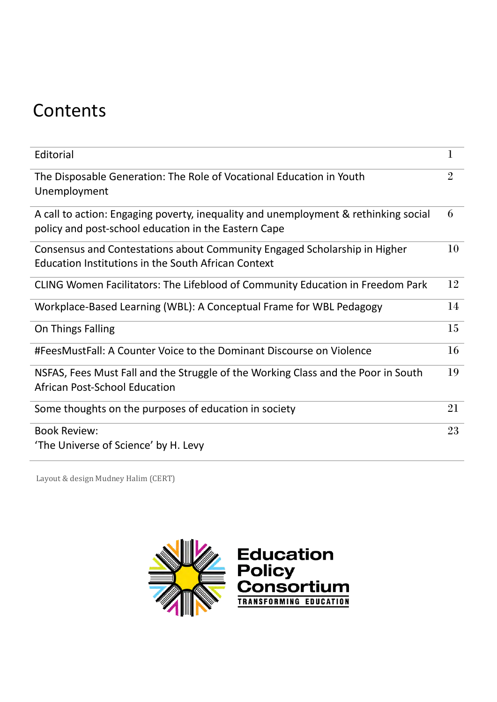# **Contents**

| Editorial                                                                                                                                   | 1              |
|---------------------------------------------------------------------------------------------------------------------------------------------|----------------|
| The Disposable Generation: The Role of Vocational Education in Youth<br>Unemployment                                                        | $\overline{2}$ |
| A call to action: Engaging poverty, inequality and unemployment & rethinking social<br>policy and post-school education in the Eastern Cape | 6              |
| Consensus and Contestations about Community Engaged Scholarship in Higher<br><b>Education Institutions in the South African Context</b>     | 10             |
| CLING Women Facilitators: The Lifeblood of Community Education in Freedom Park                                                              | 12             |
| Workplace-Based Learning (WBL): A Conceptual Frame for WBL Pedagogy                                                                         | 14             |
| On Things Falling                                                                                                                           | 15             |
| #FeesMustFall: A Counter Voice to the Dominant Discourse on Violence                                                                        | 16             |
| NSFAS, Fees Must Fall and the Struggle of the Working Class and the Poor in South<br><b>African Post-School Education</b>                   | 19             |
| Some thoughts on the purposes of education in society                                                                                       | 21             |
| <b>Book Review:</b><br>'The Universe of Science' by H. Levy                                                                                 | 23             |

Layout & design Mudney Halim (CERT)

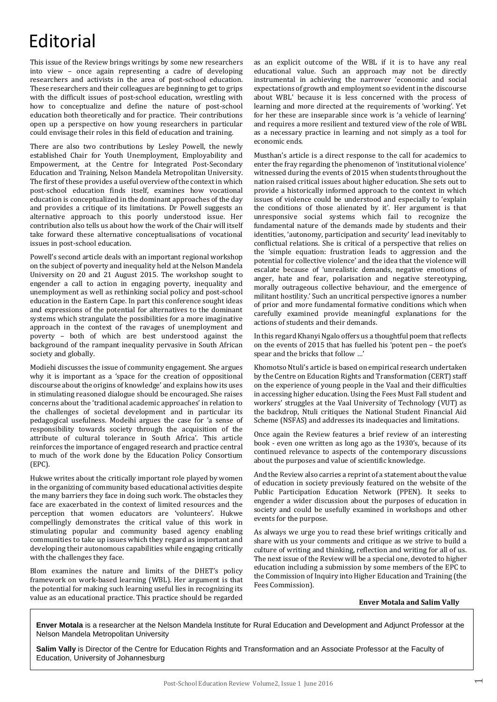# Editorial

This issue of the Review brings writings by some new researchers into view – once again representing a cadre of developing researchers and activists in the area of post-school education. These researchers and their colleagues are beginning to get to grips with the difficult issues of post-school education, wrestling with how to conceptualize and define the nature of post-school education both theoretically and for practice. Their contributions open up a perspective on how young researchers in particular could envisage their roles in this field of education and training.

There are also two contributions by Lesley Powell, the newly established Chair for Youth Unemployment, Employability and Empowerment, at the Centre for Integrated Post-Secondary Education and Training, Nelson Mandela Metropolitan University. The first of these provides a useful overview of the context in which post-school education finds itself, examines how vocational education is conceptualized in the dominant approaches of the day and provides a critique of its limitations. Dr Powell suggests an alternative approach to this poorly understood issue. Her contribution also tells us about how the work of the Chair will itself take forward these alternative conceptualisations of vocational issues in post-school education.

Powell's second article deals with an important regional workshop on the subject of poverty and inequality held at the Nelson Mandela University on 20 and 21 August 2015. The workshop sought to engender a call to action in engaging poverty, inequality and unemployment as well as rethinking social policy and post-school education in the Eastern Cape. In part this conference sought ideas and expressions of the potential for alternatives to the dominant systems which strangulate the possibilities for a more imaginative approach in the context of the ravages of unemployment and poverty – both of which are best understood against the background of the rampant inequality pervasive in South African society and globally.

Modiehi discusses the issue of community engagement. She argues why it is important as a 'space for the creation of oppositional discourse about the origins of knowledge' and explains how its uses in stimulating reasoned dialogue should be encouraged. She raises concerns about the 'traditional academic approaches' in relation to the challenges of societal development and in particular its pedagogical usefulness. Modeihi argues the case for 'a sense of responsibility towards society through the acquisition of the attribute of cultural tolerance in South Africa'. This article reinforces the importance of engaged research and practice central to much of the work done by the Education Policy Consortium (EPC).

Hukwe writes about the critically important role played by women in the organizing of community based educational activities despite the many barriers they face in doing such work. The obstacles they face are exacerbated in the context of limited resources and the perception that women educators are 'volunteers'. Hukwe compellingly demonstrates the critical value of this work in stimulating popular and community based agency enabling communities to take up issues which they regard as important and developing their autonomous capabilities while engaging critically with the challenges they face.

Blom examines the nature and limits of the DHET's policy framework on work-based learning (WBL). Her argument is that the potential for making such learning useful lies in recognizing its value as an educational practice. This practice should be regarded

as an explicit outcome of the WBL if it is to have any real educational value. Such an approach may not be directly instrumental in achieving the narrower 'economic and social expectations of growth and employment so evident in the discourse about WBL' because it is less concerned with the process of learning and more directed at the requirements of 'working'. Yet for her these are inseparable since work is 'a vehicle of learning' and requires a more resilient and textured view of the role of WBL as a necessary practice in learning and not simply as a tool for economic ends.

Musthan's article is a direct response to the call for academics to enter the fray regarding the phenomenon of 'institutional violence' witnessed during the events of 2015 when students throughout the nation raised critical issues about higher education. She sets out to provide a historically informed approach to the context in which issues of violence could be understood and especially to 'explain the conditions of those alienated by it'. Her argument is that unresponsive social systems which fail to recognize the fundamental nature of the demands made by students and their identities, 'autonomy, participation and security' lead inevitably to conflictual relations. She is critical of a perspective that relies on the 'simple equation: frustration leads to aggression and the potential for collective violence' and the idea that the violence will escalate because of 'unrealistic demands, negative emotions of anger, hate and fear, polarisation and negative stereotyping, morally outrageous collective behaviour, and the emergence of militant hostility.' Such an uncritical perspective ignores a number of prior and more fundamental formative conditions which when carefully examined provide meaningful explanations for the actions of students and their demands.

In this regard Khanyi Ngalo offers us a thoughtful poem that reflects on the events of 2015 that has fuelled his 'potent pen – the poet's spear and the bricks that follow …'

Khomotso Ntuli's article is based on empirical research undertaken by the Centre on Education Rights and Transformation (CERT) staff on the experience of young people in the Vaal and their difficulties in accessing higher education. Using the Fees Must Fall student and workers' struggles at the Vaal University of Technology (VUT) as the backdrop, Ntuli critiques the National Student Financial Aid Scheme (NSFAS) and addresses its inadequacies and limitations.

Once again the Review features a brief review of an interesting book - even one written as long ago as the 1930's, because of its continued relevance to aspects of the contemporary discussions about the purposes and value of scientific knowledge.

And the Review also carries a reprint of a statement about the value of education in society previously featured on the website of the Public Participation Education Network (PPEN). It seeks to engender a wider discussion about the purposes of education in society and could be usefully examined in workshops and other events for the purpose.

As always we urge you to read these brief writings critically and share with us your comments and critique as we strive to build a culture of writing and thinking, reflection and writing for all of us. The next issue of the Review will be a special one, devoted to higher education including a submission by some members of the EPC to the Commission of Inquiry into Higher Education and Training (the Fees Commission).

#### **Enver Motala and Salim Vally**

**Enver Motala** is a researcher at the Nelson Mandela Institute for Rural Education and Development and Adjunct Professor at the Nelson Mandela Metropolitan University

**Salim Vally** is Director of the Centre for Education Rights and Transformation and an Associate Professor at the Faculty of Education, University of Johannesburg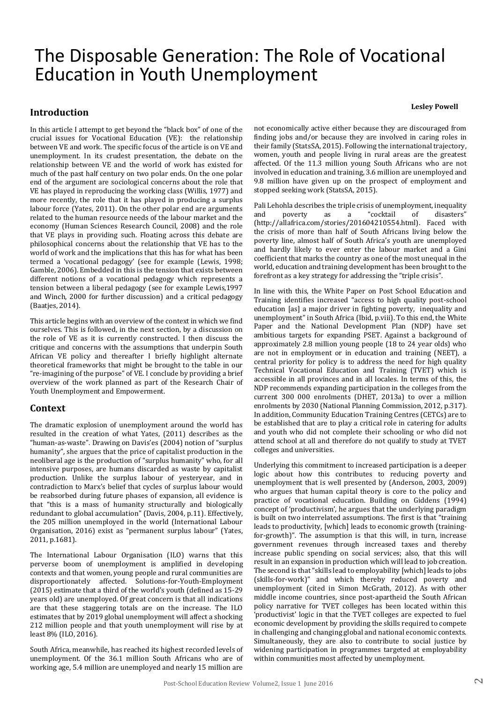# The Disposable Generation: The Role of Vocational Education in Youth Unemployment

#### **Introduction**

**Lesley Powell**

In this article I attempt to get beyond the "black box" of one of the crucial issues for Vocational Education (VE): the relationship between VE and work. The specific focus of the article is on VE and unemployment. In its crudest presentation, the debate on the relationship between VE and the world of work has existed for much of the past half century on two polar ends. On the one polar end of the argument are sociological concerns about the role that VE has played in reproducing the working class (Willis, 1977) and more recently, the role that it has played in producing a surplus labour force (Yates, 2011). On the other polar end are arguments related to the human resource needs of the labour market and the economy (Human Sciences Research Council, 2008) and the role that VE plays in providing such. Floating across this debate are philosophical concerns about the relationship that VE has to the world of work and the implications that this has for what has been termed a 'vocational pedagogy' (see for example (Lewis, 1998; Gamble, 2006). Embedded in this is the tension that exists between different notions of a vocational pedagogy which represents a tension between a liberal pedagogy (see for example Lewis,1997 and Winch, 2000 for further discussion) and a critical pedagogy (Baatjes, 2014).

This article begins with an overview of the context in which we find ourselves. This is followed, in the next section, by a discussion on the role of VE as it is currently constructed. I then discuss the critique and concerns with the assumptions that underpin South African VE policy and thereafter I briefly highlight alternate theoretical frameworks that might be brought to the table in our "re-imagining of the purpose" of VE. I conclude by providing a brief overview of the work planned as part of the Research Chair of Youth Unemployment and Empowerment.

#### **Context**

The dramatic explosion of unemployment around the world has resulted in the creation of what Yates, (2011) describes as the "human-as-waste". Drawing on Davis'es (2004) notion of "surplus humanity", she argues that the price of capitalist production in the neoliberal age is the production of "surplus humanity" who, for all intensive purposes, are humans discarded as waste by capitalist production. Unlike the surplus labour of yesteryear, and in contradiction to Marx's belief that cycles of surplus labour would be reabsorbed during future phases of expansion, all evidence is that "this is a mass of humanity structurally and biologically redundant to global accumulation" (Davis, 2004, p.11). Effectively, the 205 million unemployed in the world (International Labour Organisation, 2016) exist as "permanent surplus labour" (Yates, 2011, p.1681).

The International Labour Organisation (ILO) warns that this perverse boom of unemployment is amplified in developing contexts and that women, young people and rural communities are disproportionately affected. Solutions-for-Youth-Employment (2015) estimate that a third of the world's youth (defined as 15-29 years old) are unemployed. Of great concern is that all indications are that these staggering totals are on the increase. The ILO estimates that by 2019 global unemployment will affect a shocking 212 million people and that youth unemployment will rise by at least 8% (ILO, 2016).

South Africa, meanwhile, has reached its highest recorded levels of unemployment. Of the 36.1 million South Africans who are of working age, 5.4 million are unemployed and nearly 15 million are

not economically active either because they are discouraged from finding jobs and/or because they are involved in caring roles in their family (StatsSA, 2015). Following the international trajectory, women, youth and people living in rural areas are the greatest affected. Of the 11.3 million young South Africans who are not involved in education and training, 3.6 million are unemployed and 9.8 million have given up on the prospect of employment and stopped seeking work (StatsSA, 2015).

Pali Lehohla describes the triple crisis of unemployment, inequality and poverty as a "cocktail of disasters" (http://allafrica.com/stories/201604210554.html). Faced with the crisis of more than half of South Africans living below the poverty line, almost half of South Africa's youth are unemployed and hardly likely to ever enter the labour market and a Gini coefficient that marks the country as one of the most unequal in the world, education and training development has been brought to the forefront as a key strategy for addressing the "triple crisis".

In line with this, the White Paper on Post School Education and Training identifies increased "access to high quality post-school education [as] a major driver in fighting poverty, inequality and unemployment" in South Africa (Ibid, p.viii). To this end, the White Paper and the National Development Plan (NDP) have set ambitious targets for expanding PSET. Against a background of approximately 2.8 million young people (18 to 24 year olds) who are not in employment or in education and training (NEET), a central priority for policy is to address the need for high quality Technical Vocational Education and Training (TVET) which is accessible in all provinces and in all locales. In terms of this, the NDP recommends expanding participation in the colleges from the current 300 000 enrolments (DHET, 2013a) to over a million enrolments by 2030 (National Planning Commission, 2012, p.317). In addition, Community Education Training Centres (CETCs) are to be established that are to play a critical role in catering for adults and youth who did not complete their schooling or who did not attend school at all and therefore do not qualify to study at TVET colleges and universities.

Underlying this commitment to increased participation is a deeper logic about how this contributes to reducing poverty and unemployment that is well presented by (Anderson, 2003, 2009) who argues that human capital theory is core to the policy and practice of vocational education. Building on Giddens (1994) concept of 'productivism', he argues that the underlying paradigm is built on two interrelated assumptions. The first is that "training leads to productivity, [which] leads to economic growth (trainingfor-growth)". The assumption is that this will, in turn, increase government revenues through increased taxes and thereby increase public spending on social services; also, that this will result in an expansion in production which will lead to job creation. The second is that "skills lead to employability [which] leads to jobs (skills-for-work)" and which thereby reduced poverty and unemployment (cited in Simon McGrath, 2012). As with other middle income countries, since post-apartheid the South African policy narrative for TVET colleges has been located within this 'productivist' logic in that the TVET colleges are expected to fuel economic development by providing the skills required to compete in challenging and changing global and national economic contexts. Simultaneously, they are also to contribute to social justice by widening participation in programmes targeted at employability within communities most affected by unemployment.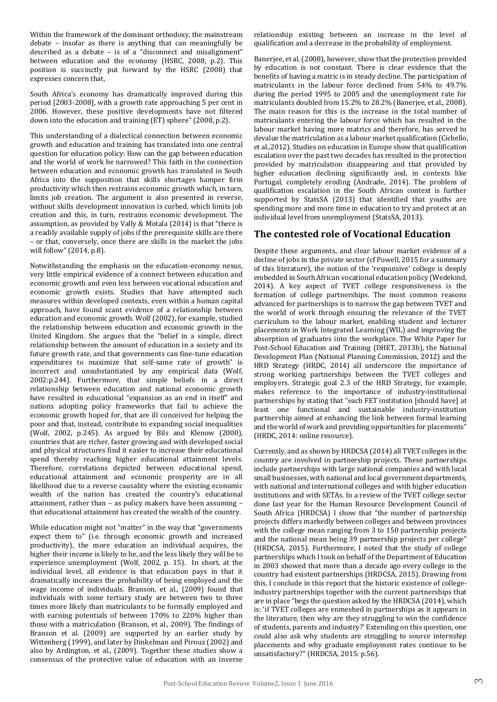Within the framework of the dominant orthodoxy, the mainstream debate – insofar as there is anything that can meaningfully be described as a debate – is of a "disconnect and misalignment" between education and the economy (HSRC, 2008, p.2). This position is succinctly put forward by the HSRC (2008) that expresses concern that,

South Africa's economy has dramatically improved during this period [2003-2008], with a growth rate approaching 5 per cent in 2006. However, these positive developments have not filtered down into the education and training (ET) sphere" (2008, p.2).

This understanding of a dialectical connection between economic growth and education and training has translated into one central question for education policy: How can the gap between education and the world of work be narrowed? This faith in the connection between education and economic growth has translated in South Africa into the supposition that skills shortages hamper firm productivity which then restrains economic growth which, in turn, limits job creation. The argument is also presented in reverse, without skills development innovation is curbed, which limits job creation and this, in turn, restrains economic development. The assumption, as provided by Vally & Motala (2014) is that "there is a readily available supply of jobs if the prerequisite skills are there – or that, conversely, once there are skills in the market the jobs will follow" (2014, p.8).

Notwithstanding the emphasis on the education-economy nexus, very little empirical evidence of a connect between education and economic growth and even less between vocational education and economic growth exists. Studies that have attempted such measures within developed contexts, even within a human capital approach, have found scant evidence of a relationship between education and economic growth. Wolf (2002), for example, studied the relationship between education and economic growth in the United Kingdom. She argues that the "belief in a simple, direct relationship between the amount of education in a society and its future growth rate, and that governments can fine-tune education expenditures to maximize that self-same rate of growth" is incorrect and unsubstantiated by any empirical data (Wolf, 2002:p.244). Furthermore, that simple beliefs in a direct relationship between education and national economic growth have resulted in educational "expansion as an end in itself" and nations adopting policy frameworks that fail to achieve the economic growth hoped for, that are ill conceived for helping the poor and that, instead, contribute to expanding social inequalities (Wolf, 2002, p.245). As argued by Bils and Klenow (2000), countries that are richer, faster growing and with developed social and physical structures find it easier to increase their educational spend thereby reaching higher educational attainment levels. Therefore, correlations depicted between educational spend, educational attainment and economic prosperity are in all likelihood due to a reverse causality where the existing economic wealth of the nation has created the country's educational attainment, rather than – as policy makers have been assuming – that educational attainment has created the wealth of the country.

While education might not "matter" in the way that "governments expect them to" (i.e. through economic growth and increased productivity), the more education an individual acquires, the higher their income is likely to be, and the less likely they will be to experience unemployment (Wolf, 2002, p. 15). In short, at the individual level, all evidence is that education pays in that it dramatically increases the probability of being employed and the wage income of individuals. Branson, et al., (2009) found that individuals with some tertiary study are between two to three times more likely than matriculants to be formally employed and with earning potentials of between 170% to 220% higher than those with a matriculation (Branson, et al., 2009). The findings of Branson et al. (2009) are supported by an earlier study by Wittenberg (1999), and later by Dinkelman and Pirouz (2002) and also by Ardington, et al., (2009). Together these studies show a consensus of the protective value of education with an inverse

relationship existing between an increase in the level of qualification and a decrease in the probability of employment.

Banerjee, et al. (2008), however, show that the protection provided by education is not constant. There is clear evidence that the benefits of having a matric is in steady decline. The participation of matriculants in the labour force declined from 54% to 49.7% during the period 1995 to 2005 and the unemployment rate for matriculants doubled from 15.2% to 28.2% (Banerjee, et al., 2008). The main reason for this is the increase in the total number of matriculants entering the labour force which has resulted in the labour market having more matrics and therefore, has served to devalue the matriculation as a labour market qualification (Cichello, et al.,2012). Studies on education in Europe show that qualification escalation over the past two decades has resulted in the protection provided by matriculation disappearing and that provided by higher education declining significantly and, in contexts like Portugal, completely eroding (Andrade, 2014). The problem of qualification escalation in the South African context is further supported by StatsSA (2013) that identified that youths are spending more and more time in education to try and protect at an individual level from unemployment (StatsSA, 2013).

#### **The contested role of Vocational Education**

Despite these arguments, and clear labour market evidence of a decline of jobs in the private sector (cf Powell, 2015 for a summary of this literature), the notion of the 'responsive' college is deeply embedded in South African vocational education policy (Wedekind, 2014). A key aspect of TVET college responsiveness is the formation of college partnerships. The most common reasons advanced for partnerships is to narrow the gap between TVET and the world of work through ensuring the relevance of the TVET curriculum to the labour market, enabling student and lecturer placements in Work Integrated Learning (WIL) and improving the absorption of graduates into the workplace. The White Paper for Post-School Education and Training (DHET, 2013b), the National Development Plan (National Planning Commission, 2012) and the HRD Strategy (HRDC, 2014) all underscore the importance of strong working partnerships between the TVET colleges and employers. Strategic goal 2.3 of the HRD Strategy, for example, makes reference to the importance of industry-institutional partnerships by stating that "each FET institution [should have] at least one functional and sustainable industry-institution partnership aimed at enhancing the link between formal learning and the world of work and providing opportunities for placements" (HRDC, 2014: online resource).

Currently, and as shown by HRDCSA (2014) all TVET colleges in the country are involved in partnership projects. These partnerships include partnerships with large national companies and with local small businesses, with national and local government departments, with national and international colleges and with higher education institutions and with SETAs. In a review of the TVET college sector done last year for the Human Resource Development Council of South Africa (HRDCSA) I show that "the number of partnership projects differs markedly between colleges and between provinces with the college mean ranging from 3 to 150 partnership projects and the national mean being 39 partnership projects per college" (HRDCSA, 2015). Furthermore, I noted that the study of college partnerships which I took on behalf of the Department of Education in 2003 showed that more than a decade ago every college in the country had existent partnerships (HRDCSA, 2015). Drawing from this, I conclude in this report that the historic existence of collegeindustry partnerships together with the current partnerships that are in place "begs the question asked by the HRDCSA (2014), which is: 'if TVET colleges are enmeshed in partnerships as it appears in the literature, then why are they struggling to win the confidence of students, parents and industry?' Extending on this question, one could also ask why students are struggling to source internship placements and why graduate employment rates continue to be unsatisfactory?" (HRDCSA, 2015: p.56).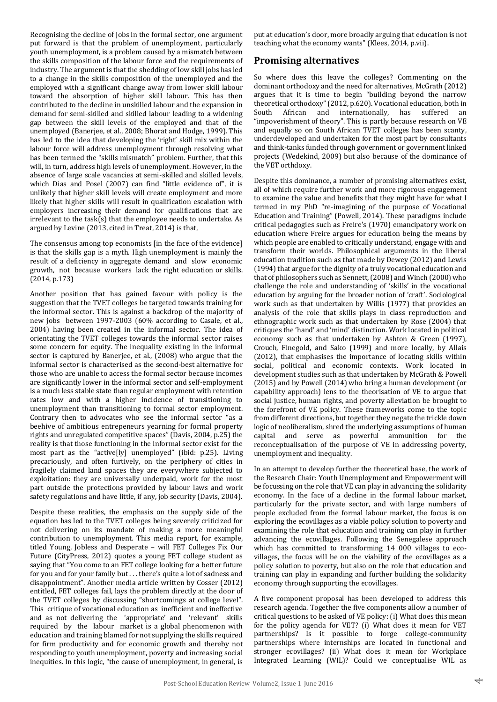Recognising the decline of jobs in the formal sector, one argument put forward is that the problem of unemployment, particularly youth unemployment, is a problem caused by a mismatch between the skills composition of the labour force and the requirements of industry. The argument is that the shedding of low skill jobs has led to a change in the skills composition of the unemployed and the employed with a significant change away from lower skill labour toward the absorption of higher skill labour. This has then contributed to the decline in unskilled labour and the expansion in demand for semi-skilled and skilled labour leading to a widening gap between the skill levels of the employed and that of the unemployed (Banerjee, et al., 2008; Bhorat and Hodge, 1999). This has led to the idea that developing the 'right' skill mix within the labour force will address unemployment through resolving what has been termed the "skills mismatch" problem. Further, that this will, in turn, address high levels of unemployment. However, in the absence of large scale vacancies at semi-skilled and skilled levels, which Dias and Posel (2007) can find "little evidence of", it is unlikely that higher skill levels will create employment and more likely that higher skills will result in qualification escalation with employers increasing their demand for qualifications that are irrelevant to the task(s) that the employee needs to undertake. As argued by Levine (2013, cited in Treat, 2014) is that,

The consensus among top economists [in the face of the evidence] is that the skills gap is a myth. High unemployment is mainly the result of a deficiency in aggregate demand and slow economic growth, not because workers lack the right education or skills. (2014, p.173)

Another position that has gained favour with policy is the suggestion that the TVET colleges be targeted towards training for the informal sector. This is against a backdrop of the majority of new jobs between 1997-2003 (60% according to Casale, et al., 2004) having been created in the informal sector. The idea of orientating the TVET colleges towards the informal sector raises some concern for equity. The inequality existing in the informal sector is captured by Banerjee, et al., (2008) who argue that the informal sector is characterised as the second-best alternative for those who are unable to access the formal sector because incomes are significantly lower in the informal sector and self-employment is a much less stable state than regular employment with retention rates low and with a higher incidence of transitioning to unemployment than transitioning to formal sector employment. Contrary then to advocates who see the informal sector "as a beehive of ambitious entrepeneurs yearning for formal property rights and unregulated competitive spaces" (Davis, 2004, p.25) the reality is that those functioning in the informal sector exist for the most part as the "active[ly] unemployed" (ibid: p.25). Living precariously, and often furtively, on the periphery of cities in fragilely claimed land spaces they are everywhere subjected to exploitation: they are universally underpaid, work for the most part outside the protections provided by labour laws and work safety regulations and have little, if any, job security (Davis, 2004).

Despite these realities, the emphasis on the supply side of the equation has led to the TVET colleges being severely criticized for not delivering on its mandate of making a more meaningful contribution to unemployment. This media report, for example, titled Young, Jobless and Desperate – will FET Colleges Fix Our Future (CityPress, 2012) quotes a young FET college student as saying that "You come to an FET college looking for a better future for you and for your family but . . . there's quite a lot of sadness and disappointment". Another media article written by Cosser (2012) entitled, FET colleges fail, lays the problem directly at the door of the TVET colleges by discussing "shortcomings at college level". This critique of vocational education as inefficient and ineffective and as not delivering the 'appropriate' and 'relevant' skills required by the labour market is a global phenomenon with education and training blamed for not supplying the skills required for firm productivity and for economic growth and thereby not responding to youth unemployment, poverty and increasing social inequities. In this logic, "the cause of unemployment, in general, is put at education's door, more broadly arguing that education is not teaching what the economy wants" (Klees, 2014, p.vii).

#### **Promising alternatives**

So where does this leave the colleges? Commenting on the dominant orthodoxy and the need for alternatives, McGrath (2012) argues that it is time to begin "building beyond the narrow theoretical orthodoxy" (2012, p.620). Vocational education, both in South African and internationally, has suffered an "impoverishment of theory". This is partly because research on VE and equally so on South African TVET colleges has been scanty, underdeveloped and undertaken for the most part by consultants and think-tanks funded through government or government linked projects (Wedekind, 2009) but also because of the dominance of the VET orthdoxy.

Despite this dominance, a number of promising alternatives exist, all of which require further work and more rigorous engagement to examine the value and benefits that they might have for what I termed in my PhD "re-imagining of the purpose of Vocational Education and Training" (Powell, 2014). These paradigms include critical pedagogies such as Freire's (1970) emancipatory work on education where Freire argues for education being the means by which people are enabled to critically understand, engage with and transform their worlds. Philosophical arguments in the liberal education tradition such as that made by Dewey (2012) and Lewis (1994) that argue for the dignity of a truly vocational education and that of philosophers such as Sennett, (2008) and Winch (2000) who challenge the role and understanding of 'skills' in the vocational education by arguing for the broader notion of 'craft'. Sociological work such as that undertaken by Willis (1977) that provides an analysis of the role that skills plays in class reproduction and ethnographic work such as that undertaken by Rose (2004) that critiques the 'hand' and 'mind' distinction. Work located in political economy such as that undertaken by Ashton & Green (1997), Crouch, Finegold, and Sako (1999) and more locally, by Allais (2012), that emphasises the importance of locating skills within social, political and economic contexts. Work located in development studies such as that undertaken by McGrath & Powell (2015) and by Powell (2014) who bring a human development (or capability approach) lens to the theorisation of VE to argue that social justice, human rights, and poverty alleviation be brought to the forefront of VE policy. These frameworks come to the topic from different directions, but together they negate the trickle down logic of neoliberalism, shred the underlying assumptions of human capital and serve as powerful ammunition for the reconceptualisation of the purpose of VE in addressing poverty, unemployment and inequality.

In an attempt to develop further the theoretical base, the work of the Research Chair: Youth Unemployment and Empowerment will be focussing on the role that VE can play in advancing the solidarity economy. In the face of a decline in the formal labour market, particularly for the private sector, and with large numbers of people excluded from the formal labour market, the focus is on exploring the ecovillages as a viable policy solution to poverty and examining the role that education and training can play in further advancing the ecovillages. Following the Senegalese approach which has committed to transforming 14 000 villages to ecovillages, the focus will be on the viability of the ecovillages as a policy solution to poverty, but also on the role that education and training can play in expanding and further building the solidarity economy through supporting the ecovillages.

A five component proposal has been developed to address this research agenda. Together the five components allow a number of critical questions to be asked of VE policy: (i) What does this mean for the policy agenda for VET? (i) What does it mean for VET partnerships? Is it possible to forge college-community partnerships where internships are located in functional and stronger ecovillages? (ii) What does it mean for Workplace Integrated Learning (WIL)? Could we conceptualise WIL as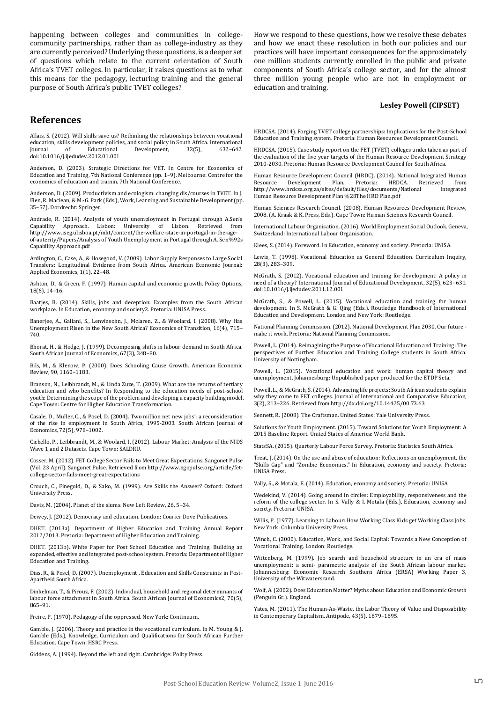happening between colleges and communities in collegecommunity partnerships, rather than as college-industry as they are currently perceived? Underlying these questions, is a deeper set of questions which relate to the current orientation of South Africa's TVET colleges. In particular, it raises questions as to what this means for the pedagogy, lecturing training and the general purpose of South Africa's public TVET colleges?

#### **References**

Allais, S. (2012). Will skills save us? Rethinking the relationships between vocational education, skills development policies, and social policy in South Africa. International<br>Journal of Educational Development, 32(5), 632-642. Development, doi:10.1016/j.ijedudev.2012.01.001

Anderson, D. (2003). Strategic Directions for VET. In Centre for Economics of Education and Training, 7th National Conference (pp. 1–9). Melbourne: Centre for the economics of education and trainin, 7th National Conference.

Anderson, D. (2009). Productivism and ecologism: changing dis/courses in TVET. In J. Fien, R. Maclean, & M.-G. Park (Eds.), Work, Learning and Sustainable Development (pp. 35–57). Dordrecht: Springer.

Andrade, R. (2014). Analysis of youth unemployment in Portugal through A.Sen's Capability Approach. Lisbon: University of Lisbon. Retrieved from http://www.iseg.ulisboa.pt/mkt/content/the-welfare-state-in-portugal-in-the-ageof-auterity/Papers/Analysis of Youth Unemployment in Portugal through A. Sen%92s Capability Approach.pdf

Ardington, C., Case, A., & Hosegood, V. (2009). Labor Supply Responses to Large Social Transfers: Longitudinal Evidence from South Africa. American Economic Journal: Applied Economics, 1(1), 22–48.

Ashton, D., & Green, F. (1997). Human capital and economic growth. Policy Options, 18(6), 14–16.

Baatjes, B. (2014). Skills, jobs and deception: Examples from the South African workplace. In Education, economy and society2. Pretoria: UNISA Press.

Banerjee, A., Galiani, S., Lenvinsohn, J., Mclaren, Z., & Woolard, I. (2008). Why Has Unemployment Risen in the New South Africa? Economics of Transition, 16(4), 715– 740.

Bhorat, H., & Hodge, J. (1999). Decomposing shifts in labour demand in South Africa. South African Journal of Economics, 67(3), 348–80.

Bils, M., & Klenow, P. (2000). Does Schooling Cause Growth. American Economic Review, 90, 1160–1183.

Branson, N., Leibbrandt, M., & Linda Zuze, T. (2009). What are the returns of tertiary education and who benefits? In Responding to the education needs of post-school youth: Determining the scope of the problem and developing a capacity building model. Cape Town: Centre for Higher Education Transformation.

Casale, D., Muller, C., & Posel, D. (2004). Two million net new jobs': a reconsideration of the rise in employment in South Africa, 1995-2003. South African Journal of Economics, 72(5), 978–1002.

Cichello, P., Leibbrandt, M., & Woolard, I. (2012). Labour Market: Analysis of the NIDS Wave 1 and 2 Datasets. Cape Town: SALDRU.

Cosser, M. (2012). FET College Sector Fails to Meet Great Expectations. Sangonet Pulse (Vol. 23 April). Sangonet Pulse. Retrieved from http://www.ngopulse.org/article/fetcollege-sector-fails-meet-great-expectations

Crouch, C., Finegold, D., & Sako, M. (1999). Are Skills the Answer? Oxford: Oxford University Press.

Davis, M. (2004). Planet of the slums. New Left Review, 26, 5–34.

Dewey, J. (2012). Democracy and education. London: Courier Dove Publications.

DHET. (2013a). Department of Higher Education and Training Annual Report 2012/2013. Pretoria: Department of Higher Education and Training.

DHET. (2013b). White Paper for Post School Education and Training. Building an expanded, effective and integrated post-school system. Pretoria: Department of Higher Education and Training.

Dias, R., & Posel, D. (2007). Unemployment , Education and Skills Constraints in Post-Apartheid South Africa.

Dinkelman, T., & Pirouz, F. (2002). Individual, household and regional determinants of labour force attachment in South Africa. South African Journal of Economics2, 70(5), 865–91.

Freire, P. (1970). Pedagogy of the oppressed. New York: Continuum.

Gamble, J. (2006). Theory and practice in the vocational curriculum. In M. Young & J. Gamble (Eds.), Knowledge, Curriculum and Qualifications for South African Further Education. Cape Town: HSRC Press.

How we respond to these questions, how we resolve these debates and how we enact these resolution in both our policies and our practices will have important consequences for the approximately one million students currently enrolled in the public and private components of South Africa's college sector, and for the almost three million young people who are not in employment or education and training.

#### **Lesley Powell (CIPSET)**

HRDCSA. (2014). Forging TVET college partnerships: Implications for the Post-School Education and Training system. Pretoria: Human Resources Development Council.

HRDCSA. (2015). Case study report on the FET (TVET) colleges undertaken as part of the evaluation of the five year targets of the Human Resource Development Strategy 2010-2030. Pretoria: Human Resource Development Council for South Africa.

Human Resource Development Council (HRDC). (2014). National Integrated Human Resource Development Plan. Pretoria: HRDCA. Retrieved from http://www.hrdcsa.org.za/sites/default/files/documents/National Integrated Human Resource Development Plan %28The HRD Plan.pdf

Human Sciences Research Council. (2008). Human Resources Development Review, 2008. (A. Kraak & K. Press, Eds.). Cape Town: Human Sciences Research Council.

International Labour Organisation. (2016). World Employment Social Outlook. Geneva, Switzerland: International Labour Organisation.

Klees, S. (2014). Foreword. In Education, economy and society. Pretoria: UNISA.

Lewis, T. (1998). Vocational Education as General Education. Curriculum Inquiry, 28(3), 283–309.

McGrath, S. (2012). Vocational education and training for development: A policy in need of a theory? International Journal of Educational Development, 32(5), 623–631. doi:10.1016/j.ijedudev.2011.12.001

McGrath, S., & Powell, L. (2015). Vocational education and training for human development. In S. McGrath & G. Qing (Eds.), Routledge Handbook of International Education and Development. London and New York: Routledge.

National Planning Commission. (2012). National Development Plan 2030. Our future make it work. Pretoria: National Planning Commission.

Powell, L. (2014). Reimagining the Purpose of Vocational Education and Training: The perspectives of Further Education and Training College students in South Africa. University of Nottingham.

Powell, L. (2015). Vocational education and work: human capital theory and unemployment. Johannesburg: Unpublished paper produced for the ETDP Seta.

Powell, L., & McGrath, S. (2014). Advancing life projects: South African students explain why they come to FET colleges. Journal of International and Comparative Education, 3(2), 213–226. Retrieved from http://dx.doi.org/10.14425/00.73.63

Sennett, R. (2008). The Craftsman. United States: Yale University Press.

Solutions for Youth Employment. (2015). Toward Solutions for Youth Employment: A 2015 Baseline Report. United States of America: World Bank.

StatsSA. (2015). Quarterly Labour Force Survey. Pretoria: Statistics South Africa.

Treat, J. (2014). On the use and abuse of education: Reflections on unemployment, the "Skills Gap" and "Zombie Economics." In Education, economy and society. Pretoria: UNISA Press.

Vally, S., & Motala, E. (2014). Education, economy and society. Pretoria: UNISA.

Wedekind, V. (2014). Going around in circles: Employability, responsiveness and the reform of the college sector. In S. Vally & I. Motala (Eds.), Education, economy and society. Pretoria: UNISA.

Willis, P. (1977). Learning to Labour: How Working Class Kids get Working Class Jobs. New York: Columbia University Press.

Winch, C. (2000). Education, Work, and Social Capital: Towards a New Conception of Vocational Training. London: Routledge.

Wittenberg, M. (1999). Job search and household structure in an era of mass unemployment: a semi- parametric analysis of the South African labour market. Johannesburg: Economic Research Southern Africa (ERSA) Working Paper 3, University of the Witwatersrand.

Wolf, A. (2002). Does Education Matter? Myths about Education and Economic Growth (Penguin Gr.). England.

Yates, M. (2011). The Human-As-Waste, the Labor Theory of Value and Disposability in Contemporary Capitalism. Antipode, 43(5), 1679–1695.

Giddens, A. (1994). Beyond the left and right. Cambridge: Polity Press.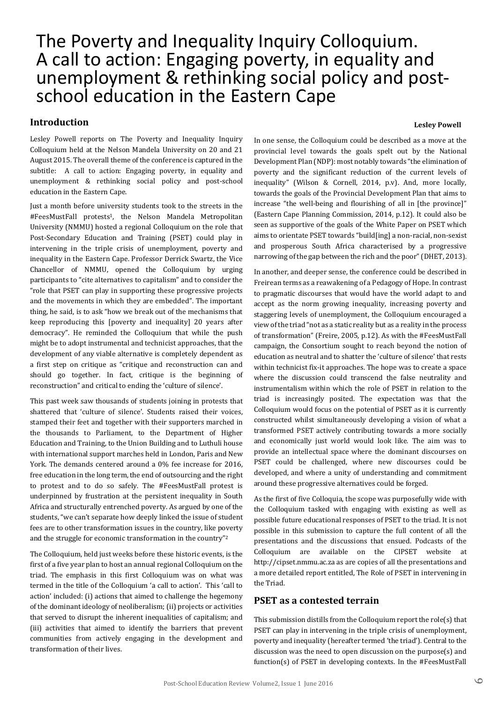# The Poverty and Inequality Inquiry Colloquium. A call to action: Engaging poverty, in equality and unemployment & rethinking social policy and postschool education in the Eastern Cape

#### **Introduction**

#### **Lesley Powell**

Lesley Powell reports on The Poverty and Inequality Inquiry Colloquium held at the Nelson Mandela University on 20 and 21 August 2015. The overall theme of the conference is captured in the subtitle: A call to action: Engaging poverty, in equality and unemployment & rethinking social policy and post-school education in the Eastern Cape.

Just a month before university students took to the streets in the #FeesMustFall protests1, the Nelson Mandela Metropolitan University (NMMU) hosted a regional Colloquium on the role that Post-Secondary Education and Training (PSET) could play in intervening in the triple crisis of unemployment, poverty and inequality in the Eastern Cape. Professor Derrick Swartz, the Vice Chancellor of NMMU, opened the Colloquium by urging participants to "cite alternatives to capitalism" and to consider the "role that PSET can play in supporting these progressive projects and the movements in which they are embedded". The important thing, he said, is to ask "how we break out of the mechanisms that keep reproducing this [poverty and inequality] 20 years after democracy". He reminded the Colloquium that while the push might be to adopt instrumental and technicist approaches, that the development of any viable alternative is completely dependent as a first step on critique as "critique and reconstruction can and should go together. In fact, critique is the beginning of reconstruction" and critical to ending the 'culture of silence'.

This past week saw thousands of students joining in protests that shattered that 'culture of silence'. Students raised their voices, stamped their feet and together with their supporters marched in the thousands to Parliament, to the Department of Higher Education and Training, to the Union Building and to Luthuli house with international support marches held in London, Paris and New York. The demands centered around a 0% fee increase for 2016, free education in the long term, the end of outsourcing and the right to protest and to do so safely. The #FeesMustFall protest is underpinned by frustration at the persistent inequality in South Africa and structurally entrenched poverty. As argued by one of the students, "we can't separate how deeply linked the issue of student fees are to other transformation issues in the country, like poverty and the struggle for economic transformation in the country"<sup>2</sup>

The Colloquium, held just weeks before these historic events, is the first of a five year plan to host an annual regional Colloquium on the triad. The emphasis in this first Colloquium was on what was termed in the title of the Colloquium 'a call to action'. This 'call to action' included: (i) actions that aimed to challenge the hegemony of the dominant ideology of neoliberalism; (ii) projects or activities that served to disrupt the inherent inequalities of capitalism; and (iii) activities that aimed to identify the barriers that prevent communities from actively engaging in the development and transformation of their lives.

In one sense, the Colloquium could be described as a move at the provincial level towards the goals spelt out by the National Development Plan (NDP): most notably towards "the elimination of poverty and the significant reduction of the current levels of inequality" (Wilson & Cornell, 2014, p.v). And, more locally, towards the goals of the Provincial Development Plan that aims to increase "the well-being and flourishing of all in [the province]" (Eastern Cape Planning Commission, 2014, p.12). It could also be seen as supportive of the goals of the White Paper on PSET which aims to orientate PSET towards "build[ing] a non-racial, non-sexist and prosperous South Africa characterised by a progressive narrowing of the gap between the rich and the poor" (DHET, 2013).

In another, and deeper sense, the conference could be described in Freirean terms as a reawakening of a Pedagogy of Hope. In contrast to pragmatic discourses that would have the world adapt to and accept as the norm growing inequality, increasing poverty and staggering levels of unemployment, the Colloquium encouraged a view of the triad "not as a static reality but as a reality in the process of transformation" (Freire, 2005, p.12). As with the #FeesMustFall campaign, the Consortium sought to reach beyond the notion of education as neutral and to shatter the 'culture of silence' that rests within technicist fix-it approaches. The hope was to create a space where the discussion could transcend the false neutrality and instrumentalism within which the role of PSET in relation to the triad is increasingly posited. The expectation was that the Colloquium would focus on the potential of PSET as it is currently constructed whilst simultaneously developing a vision of what a transformed PSET actively contributing towards a more socially and economically just world would look like. The aim was to provide an intellectual space where the dominant discourses on PSET could be challenged, where new discourses could be developed, and where a unity of understanding and commitment around these progressive alternatives could be forged.

As the first of five Colloquia, the scope was purposefully wide with the Colloquium tasked with engaging with existing as well as possible future educational responses of PSET to the triad. It is not possible in this submission to capture the full content of all the presentations and the discussions that ensued. Podcasts of the Colloquium are available on the CIPSET website at http://cipset.nmmu.ac.za as are copies of all the presentations and a more detailed report entitled, The Role of PSET in intervening in the Triad.

#### **PSET as a contested terrain**

This submission distills from the Colloquium report the role(s) that PSET can play in intervening in the triple crisis of unemployment, poverty and inequality (hereafter termed 'the triad'). Central to the discussion was the need to open discussion on the purpose(s) and function(s) of PSET in developing contexts. In the #FeesMustFall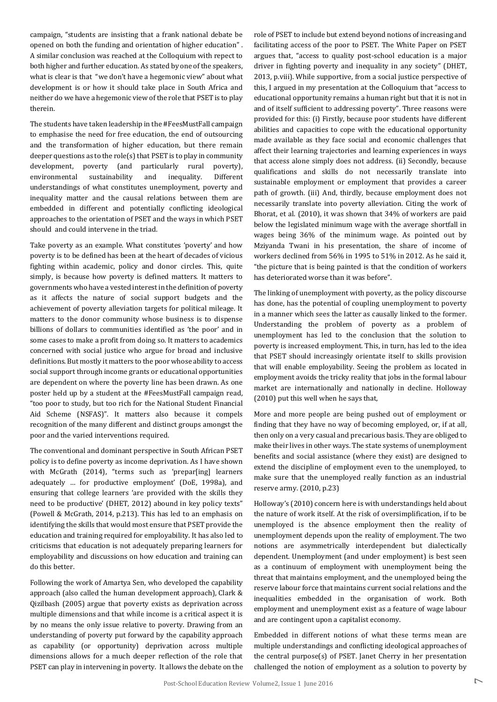campaign, "students are insisting that a frank national debate be opened on both the funding and orientation of higher education" . A similar conclusion was reached at the Colloquium with repect to both higher and further education. As stated by one of the speakers, what is clear is that "we don't have a hegemonic view" about what development is or how it should take place in South Africa and neither do we have a hegemonic view of the role that PSET is to play therein.

The students have taken leadership in the #FeesMustFall campaign to emphasise the need for free education, the end of outsourcing and the transformation of higher education, but there remain deeper questions as to the role(s) that PSET is to play in community development, poverty (and particularly rural poverty), environmental sustainability and inequality. Different understandings of what constitutes unemployment, poverty and inequality matter and the causal relations between them are embedded in different and potentially conflicting ideological approaches to the orientation of PSET and the ways in which PSET should and could intervene in the triad.

Take poverty as an example. What constitutes 'poverty' and how poverty is to be defined has been at the heart of decades of vicious fighting within academic, policy and donor circles. This, quite simply, is because how poverty is defined matters. It matters to governments who have a vested interest in the definition of poverty as it affects the nature of social support budgets and the achievement of poverty alleviation targets for political mileage. It matters to the donor community whose business is to dispense billions of dollars to communities identified as 'the poor' and in some cases to make a profit from doing so. It matters to academics concerned with social justice who argue for broad and inclusive definitions. But mostly it matters to the poor whose ability to access social support through income grants or educational opportunities are dependent on where the poverty line has been drawn. As one poster held up by a student at the #FeesMustFall campaign read, "too poor to study, but too rich for the National Student Financial Aid Scheme (NSFAS)". It matters also because it compels recognition of the many different and distinct groups amongst the poor and the varied interventions required.

The conventional and dominant perspective in South African PSET policy is to define poverty as income deprivation. As I have shown with McGrath (2014), "terms such as 'prepar[ing] learners adequately … for productive employment' (DoE, 1998a), and ensuring that college learners 'are provided with the skills they need to be productive' (DHET, 2012) abound in key policy texts" (Powell & McGrath, 2014, p.213). This has led to an emphasis on identifying the skills that would most ensure that PSET provide the education and training required for employability. It has also led to criticisms that education is not adequately preparing learners for employability and discussions on how education and training can do this better.

Following the work of Amartya Sen, who developed the capability approach (also called the human development approach), Clark & Qizilbash (2005) argue that poverty exists as deprivation across multiple dimensions and that while income is a critical aspect it is by no means the only issue relative to poverty. Drawing from an understanding of poverty put forward by the capability approach as capability (or opportunity) deprivation across multiple dimensions allows for a much deeper reflection of the role that PSET can play in intervening in poverty. It allows the debate on the

role of PSET to include but extend beyond notions of increasing and facilitating access of the poor to PSET. The White Paper on PSET argues that, "access to quality post-school education is a major driver in fighting poverty and inequality in any society" (DHET, 2013, p.viii). While supportive, from a social justice perspective of this, I argued in my presentation at the Colloquium that "access to educational opportunity remains a human right but that it is not in and of itself sufficient to addressing poverty". Three reasons were provided for this: (i) Firstly, because poor students have different abilities and capacities to cope with the educational opportunity made available as they face social and economic challenges that affect their learning trajectories and learning experiences in ways that access alone simply does not address. (ii) Secondly, because qualifications and skills do not necessarily translate into sustainable employment or employment that provides a career path of growth. (iii) And, thirdly, because employment does not necessarily translate into poverty alleviation. Citing the work of Bhorat, et al. (2010), it was shown that 34% of workers are paid below the legislated minimum wage with the average shortfall in wages being 36% of the minimum wage. As pointed out by Mziyanda Twani in his presentation, the share of income of workers declined from 56% in 1995 to 51% in 2012. As he said it, "the picture that is being painted is that the condition of workers has deteriorated worse than it was before".

The linking of unemployment with poverty, as the policy discourse has done, has the potential of coupling unemployment to poverty in a manner which sees the latter as causally linked to the former. Understanding the problem of poverty as a problem of unemployment has led to the conclusion that the solution to poverty is increased employment. This, in turn, has led to the idea that PSET should increasingly orientate itself to skills provision that will enable employability. Seeing the problem as located in employment avoids the tricky reality that jobs in the formal labour market are internationally and nationally in decline. Holloway (2010) put this well when he says that,

More and more people are being pushed out of employment or finding that they have no way of becoming employed, or, if at all, then only on a very casual and precarious basis. They are obliged to make their lives in other ways. The state systems of unemployment benefits and social assistance (where they exist) are designed to extend the discipline of employment even to the unemployed, to make sure that the unemployed really function as an industrial reserve army. (2010, p.23)

Holloway's (2010) concern here is with understandings held about the nature of work itself. At the risk of oversimplification, if to be unemployed is the absence employment then the reality of unemployment depends upon the reality of employment. The two notions are asymmetrically interdependent but dialectically dependent. Unemployment (and under employment) is best seen as a continuum of employment with unemployment being the threat that maintains employment, and the unemployed being the reserve labour force that maintains current social relations and the inequalities embedded in the organisation of work. Both employment and unemployment exist as a feature of wage labour and are contingent upon a capitalist economy.

Embedded in different notions of what these terms mean are multiple understandings and conflicting ideological approaches of the central purpose(s) of PSET. Janet Cherry in her presentation challenged the notion of employment as a solution to poverty by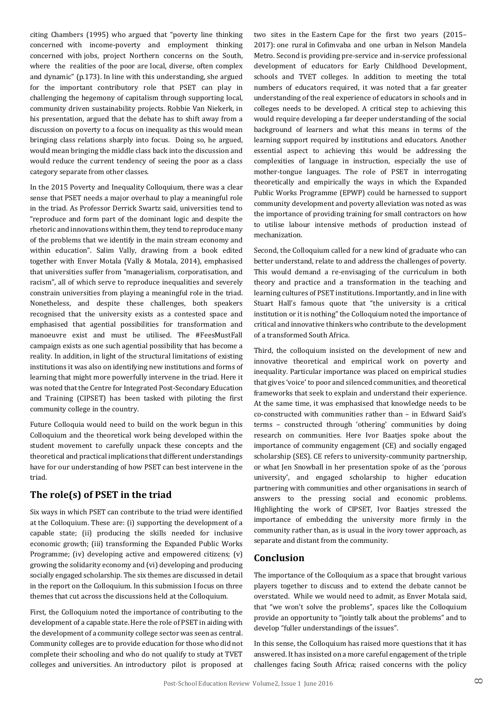citing Chambers (1995) who argued that "poverty line thinking concerned with income-poverty and employment thinking concerned with jobs, project Northern concerns on the South, where the realities of the poor are local, diverse, often complex and dynamic" (p.173). In line with this understanding, she argued for the important contributory role that PSET can play in challenging the hegemony of capitalism through supporting local, community driven sustainability projects. Robbie Van Niekerk, in his presentation, argued that the debate has to shift away from a discussion on poverty to a focus on inequality as this would mean bringing class relations sharply into focus. Doing so, he argued, would mean bringing the middle class back into the discussion and would reduce the current tendency of seeing the poor as a class category separate from other classes.

In the 2015 Poverty and Inequality Colloquium, there was a clear sense that PSET needs a major overhaul to play a meaningful role in the triad. As Professor Derrick Swartz said, universities tend to "reproduce and form part of the dominant logic and despite the rhetoric and innovations within them, they tend to reproduce many of the problems that we identify in the main stream economy and within education". Salim Vally, drawing from a book edited together with Enver Motala (Vally & Motala, 2014), emphasised that universities suffer from "managerialism, corporatisation, and racism", all of which serve to reproduce inequalities and severely constrain universities from playing a meaningful role in the triad. Nonetheless, and despite these challenges, both speakers recognised that the university exists as a contested space and emphasised that agential possibilities for transformation and manoeuvre exist and must be utilised. The #FeesMustFall campaign exists as one such agential possibility that has become a reality. In addition, in light of the structural limitations of existing institutions it was also on identifying new institutions and forms of learning that might more powerfully intervene in the triad. Here it was noted that the Centre for Integrated Post-Secondary Education and Training (CIPSET) has been tasked with piloting the first community college in the country.

Future Colloquia would need to build on the work begun in this Colloquium and the theoretical work being developed within the student movement to carefully unpack these concepts and the theoretical and practical implications that different understandings have for our understanding of how PSET can best intervene in the triad.

#### **The role(s) of PSET in the triad**

Six ways in which PSET can contribute to the triad were identified at the Colloquium. These are: (i) supporting the development of a capable state; (ii) producing the skills needed for inclusive economic growth; (iii) transforming the Expanded Public Works Programme; (iv) developing active and empowered citizens; (v) growing the solidarity economy and (vi) developing and producing socially engaged scholarship. The six themes are discussed in detail in the report on the Colloquium. In this submission I focus on three themes that cut across the discussions held at the Colloquium.

First, the Colloquium noted the importance of contributing to the development of a capable state. Here the role of PSET in aiding with the development of a community college sector was seen as central. Community colleges are to provide education for those who did not complete their schooling and who do not qualify to study at TVET colleges and universities. An introductory pilot is proposed at

two sites in the Eastern Cape for the first two years (2015– 2017): one rural in Cofimvaba and one urban in Nelson Mandela Metro. Second is providing pre-service and in-service professional development of educators for Early Childhood Development, schools and TVET colleges. In addition to meeting the total numbers of educators required, it was noted that a far greater understanding of the real experience of educators in schools and in colleges needs to be developed. A critical step to achieving this would require developing a far deeper understanding of the social background of learners and what this means in terms of the learning support required by institutions and educators. Another essential aspect to achieving this would be addressing the complexities of language in instruction, especially the use of mother-tongue languages. The role of PSET in interrogating theoretically and empirically the ways in which the Expanded Public Works Programme (EPWP) could be harnessed to support community development and poverty alleviation was noted as was the importance of providing training for small contractors on how to utilise labour intensive methods of production instead of mechanization.

Second, the Colloquium called for a new kind of graduate who can better understand, relate to and address the challenges of poverty. This would demand a re-envisaging of the curriculum in both theory and practice and a transformation in the teaching and learning cultures of PSET institutions. Importantly, and in line with Stuart Hall's famous quote that "the university is a critical institution or it is nothing" the Colloquium noted the importance of critical and innovative thinkers who contribute to the development of a transformed South Africa.

Third, the colloquium insisted on the development of new and innovative theoretical and empirical work on poverty and inequality. Particular importance was placed on empirical studies that gives 'voice' to poor and silenced communities, and theoretical frameworks that seek to explain and understand their experience. At the same time, it was emphasised that knowledge needs to be co-constructed with communities rather than – in Edward Said's terms – constructed through 'othering' communities by doing research on communities. Here Ivor Baatjes spoke about the importance of community engagement (CE) and socially engaged scholarship (SES). CE refers to university-community partnership, or what Jen Snowball in her presentation spoke of as the 'porous university', and engaged scholarship to higher education partnering with communities and other organisations in search of answers to the pressing social and economic problems. Highlighting the work of CIPSET, Ivor Baatjes stressed the importance of embedding the university more firmly in the community rather than, as is usual in the ivory tower approach, as separate and distant from the community.

#### **Conclusion**

The importance of the Colloquium as a space that brought various players together to discuss and to extend the debate cannot be overstated. While we would need to admit, as Enver Motala said, that "we won't solve the problems", spaces like the Colloquium provide an opportunity to "jointly talk about the problems" and to develop "fuller understandings of the issues".

In this sense, the Colloquium has raised more questions that it has answered. It has insisted on a more careful engagement of the triple challenges facing South Africa; raised concerns with the policy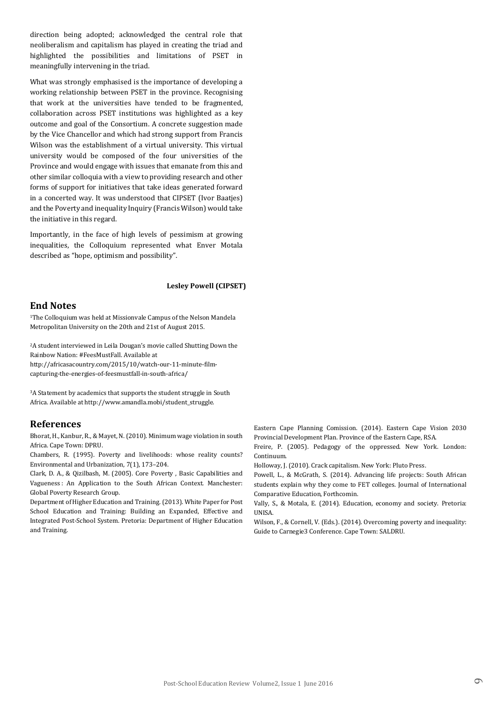direction being adopted; acknowledged the central role that neoliberalism and capitalism has played in creating the triad and highlighted the possibilities and limitations of PSET in meaningfully intervening in the triad.

What was strongly emphasised is the importance of developing a working relationship between PSET in the province. Recognising that work at the universities have tended to be fragmented, collaboration across PSET institutions was highlighted as a key outcome and goal of the Consortium. A concrete suggestion made by the Vice Chancellor and which had strong support from Francis Wilson was the establishment of a virtual university. This virtual university would be composed of the four universities of the Province and would engage with issues that emanate from this and other similar colloquia with a view to providing research and other forms of support for initiatives that take ideas generated forward in a concerted way. It was understood that CIPSET (Ivor Baatjes) and the Poverty and inequality Inquiry (Francis Wilson) would take the initiative in this regard.

Importantly, in the face of high levels of pessimism at growing inequalities, the Colloquium represented what Enver Motala described as "hope, optimism and possibility".

#### **Lesley Powell (CIPSET)**

#### **End Notes**

<sup>1</sup>The Colloquium was held at Missionvale Campus of the Nelson Mandela Metropolitan University on the 20th and 21st of August 2015.

<sup>2</sup>A student interviewed in Leila Dougan's movie called Shutting Down the Rainbow Nation: #FeesMustFall. Available at http://africasacountry.com/2015/10/watch-our-11-minute-filmcapturing-the-energies-of-feesmustfall-in-south-africa/

<sup>3</sup>A Statement by academics that supports the student struggle in South Africa. Available at http://www.amandla.mobi/student\_struggle.

#### **References**

Bhorat, H., Kanbur, R., & Mayet, N. (2010). Minimum wage violation in south Africa. Cape Town: DPRU.

Chambers, R. (1995). Poverty and livelihoods: whose reality counts? Environmental and Urbanization, 7(1), 173–204.

Clark, D. A., & Qizilbash, M. (2005). Core Poverty , Basic Capabilities and Vagueness : An Application to the South African Context. Manchester: Global Poverty Research Group.

Department of Higher Education and Training. (2013). White Paper for Post School Education and Training: Building an Expanded, Effective and Integrated Post-School System. Pretoria: Department of Higher Education and Training.

Eastern Cape Planning Comission. (2014). Eastern Cape Vision 2030 Provincial Development Plan. Province of the Eastern Cape, RSA.

Freire, P. (2005). Pedagogy of the oppressed. New York. London: Continuum.

Holloway, J. (2010). Crack capitalism. New York: Pluto Press.

Powell, L., & McGrath, S. (2014). Advancing life projects: South African students explain why they come to FET colleges. Journal of International Comparative Education, Forthcomin.

Vally, S., & Motala, E. (2014). Education, economy and society. Pretoria: UNISA.

Wilson, F., & Cornell, V. (Eds.). (2014). Overcoming poverty and inequality: Guide to Carnegie3 Conference. Cape Town: SALDRU.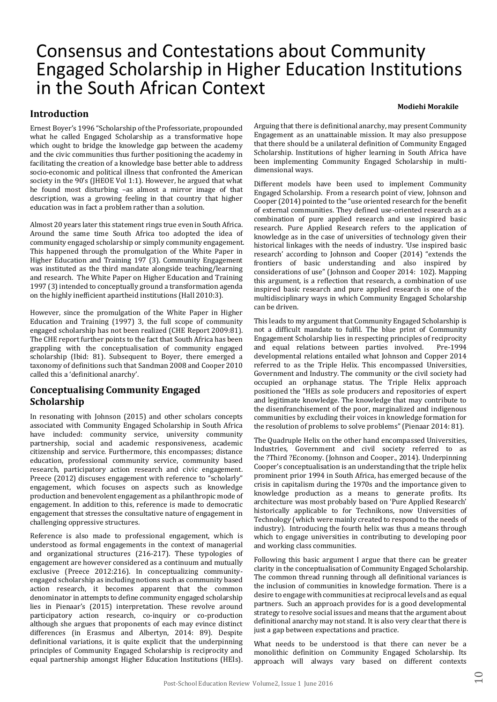# Consensus and Contestations about Community Engaged Scholarship in Higher Education Institutions in the South African Context

#### **Modiehi Morakile**

**Introduction** 

Ernest Boyer's 1996 "Scholarship of the Professoriate, propounded what he called Engaged Scholarship as a transformative hope which ought to bridge the knowledge gap between the academy and the civic communities thus further positioning the academy in facilitating the creation of a knowledge base better able to address socio-economic and political illness that confronted the American society in the 90's (JHEOE Vol 1:1). However, he argued that what he found most disturbing –as almost a mirror image of that description, was a growing feeling in that country that higher education was in fact a problem rather than a solution.

Almost 20 years later this statement rings true even in South Africa. Around the same time South Africa too adopted the idea of community engaged scholarship or simply community engagement. This happened through the promulgation of the White Paper in Higher Education and Training 197 (3). Community Engagement was instituted as the third mandate alongside teaching/learning and research. The White Paper on Higher Education and Training 1997 (3) intended to conceptually ground a transformation agenda on the highly inefficient apartheid institutions (Hall 2010:3).

However, since the promulgation of the White Paper in Higher Education and Training (1997) 3, the full scope of community engaged scholarship has not been realized (CHE Report 2009:81). The CHE report further points to the fact that South Africa has been grappling with the conceptualisation of community engaged scholarship (Ibid: 81). Subsequent to Boyer, there emerged a taxonomy of definitions such that Sandman 2008 and Cooper 2010 called this a 'definitional anarchy'.

#### **Conceptualising Community Engaged Scholarship**

In resonating with Johnson (2015) and other scholars concepts associated with Community Engaged Scholarship in South Africa have included: community service, university community partnership, social and academic responsiveness, academic citizenship and service. Furthermore, this encompasses; distance education, professional community service, community based research, participatory action research and civic engagement. Preece (2012) discuses engagement with reference to "scholarly" engagement, which focuses on aspects such as knowledge production and benevolent engagement as a philanthropic mode of engagement. In addition to this, reference is made to democratic engagement that stresses the consultative nature of engagement in challenging oppressive structures.

Reference is also made to professional engagement, which is understood as formal engagements in the context of managerial and organizational structures (216-217). These typologies of engagement are however considered as a continuum and mutually exclusive (Preece 2012:216). In conceptualizing communityengaged scholarship as including notions such as community based action research, it becomes apparent that the common denominator in attempts to define community engaged scholarship lies in Pienaar's (2015) interpretation. These revolve around participatory action research, co-inquiry or co-production although she argues that proponents of each may evince distinct differences (in Erasmus and Albertyn, 2014: 89). Despite definitional variations, it is quite explicit that the underpinning principles of Community Engaged Scholarship is reciprocity and equal partnership amongst Higher Education Institutions (HEIs).

Arguing that there is definitional anarchy, may present Community Engagement as an unattainable mission. It may also presuppose that there should be a unilateral definition of Community Engaged Scholarship. Institutions of higher learning in South Africa have been implementing Community Engaged Scholarship in multidimensional ways.

Different models have been used to implement Community Engaged Scholarship. From a research point of view, Johnson and Cooper (2014) pointed to the "use oriented research for the benefit of external communities. They defined use-oriented research as a combination of pure applied research and use inspired basic research. Pure Applied Research refers to the application of knowledge as in the case of universities of technology given their historical linkages with the needs of industry. 'Use inspired basic research' according to Johnson and Cooper (2014) "extends the frontiers of basic understanding and also inspired by considerations of use" (Johnson and Cooper 2014: 102). Mapping this argument, is a reflection that research, a combination of use inspired basic research and pure applied research is one of the multidisciplinary ways in which Community Engaged Scholarship can be driven.

This leads to my argument that Community Engaged Scholarship is not a difficult mandate to fulfil. The blue print of Community Engagement Scholarship lies in respecting principles of reciprocity and equal relations between parties involved. Pre-1994 developmental relations entailed what Johnson and Copper 2014 referred to as the Triple Helix. This encompassed Universities, Government and Industry. The community or the civil society had occupied an orphanage status. The Triple Helix approach positioned the "HEIs as sole producers and repositories of expert and legitimate knowledge. The knowledge that may contribute to the disenfranchisement of the poor, marginalized and indigenous communities by excluding their voices in knowledge formation for the resolution of problems to solve problems" (Pienaar 2014: 81).

The Quadruple Helix on the other hand encompassed Universities, Industries, Government and civil society referred to as the ?Third ?Economy. (Johnson and Cooper., 2014). Underpinning Cooper's conceptualisation is an understanding that the triple helix prominent prior 1994 in South Africa, has emerged because of the crisis in capitalism during the 1970s and the importance given to knowledge production as a means to generate profits. Its architecture was most probably based on 'Pure Applied Research' historically applicable to for Technikons, now Universities of Technology (which were mainly created to respond to the needs of industry). Introducing the fourth helix was thus a means through which to engage universities in contributing to developing poor and working class communities.

Following this basic argument I argue that there can be greater clarity in the conceptualisation of Community Engaged Scholarship. The common thread running through all definitional variances is the inclusion of communities in knowledge formation. There is a desire to engage with communities at reciprocal levels and as equal partners. Such an approach provides for is a good developmental strategy to resolve social issues and means that the argument about definitional anarchy may not stand. It is also very clear that there is just a gap between expectations and practice.

What needs to be understood is that there can never be a monolithic definition on Community Engaged Scholarship. Its approach will always vary based on different contexts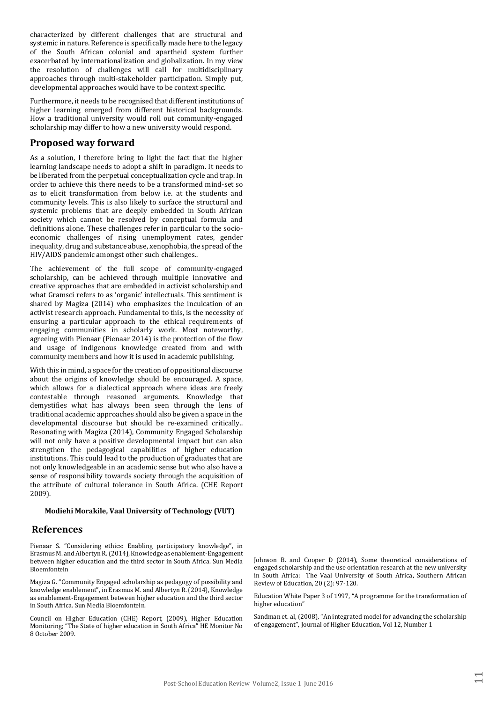characterized by different challenges that are structural and systemic in nature. Reference is specifically made here to the legacy of the South African colonial and apartheid system further exacerbated by internationalization and globalization. In my view the resolution of challenges will call for multidisciplinary approaches through multi-stakeholder participation. Simply put, developmental approaches would have to be context specific.

Furthermore, it needs to be recognised that different institutions of higher learning emerged from different historical backgrounds. How a traditional university would roll out community-engaged scholarship may differ to how a new university would respond.

#### **Proposed way forward**

As a solution, I therefore bring to light the fact that the higher learning landscape needs to adopt a shift in paradigm. It needs to be liberated from the perpetual conceptualization cycle and trap. In order to achieve this there needs to be a transformed mind-set so as to elicit transformation from below i.e. at the students and community levels. This is also likely to surface the structural and systemic problems that are deeply embedded in South African society which cannot be resolved by conceptual formula and definitions alone. These challenges refer in particular to the socioeconomic challenges of rising unemployment rates, gender inequality, drug and substance abuse, xenophobia, the spread of the HIV/AIDS pandemic amongst other such challenges..

The achievement of the full scope of community-engaged scholarship, can be achieved through multiple innovative and creative approaches that are embedded in activist scholarship and what Gramsci refers to as 'organic' intellectuals. This sentiment is shared by Magiza (2014) who emphasizes the inculcation of an activist research approach. Fundamental to this, is the necessity of ensuring a particular approach to the ethical requirements of engaging communities in scholarly work. Most noteworthy, agreeing with Pienaar (Pienaar 2014) is the protection of the flow and usage of indigenous knowledge created from and with community members and how it is used in academic publishing.

With this in mind, a space for the creation of oppositional discourse about the origins of knowledge should be encouraged. A space, which allows for a dialectical approach where ideas are freely contestable through reasoned arguments. Knowledge that demystifies what has always been seen through the lens of traditional academic approaches should also be given a space in the developmental discourse but should be re-examined critically.. Resonating with Magiza (2014), Community Engaged Scholarship will not only have a positive developmental impact but can also strengthen the pedagogical capabilities of higher education institutions. This could lead to the production of graduates that are not only knowledgeable in an academic sense but who also have a sense of responsibility towards society through the acquisition of the attribute of cultural tolerance in South Africa. (CHE Report 2009).

#### **Modiehi Morakile, Vaal University of Technology (VUT)**

#### **References**

Pienaar S. "Considering ethics: Enabling participatory knowledge", in Erasmus M. and Albertyn R. (2014), Knowledge as enablement-Engagement between higher education and the third sector in South Africa. Sun Media Bloemfontein

Magiza G. "Community Engaged scholarship as pedagogy of possibility and knowledge enablement", in Erasmus M. and Albertyn R. (2014), Knowledge as enablement-Engagement between higher education and the third sector in South Africa. Sun Media Bloemfontein.

Council on Higher Education (CHE) Report, (2009), Higher Education Monitoring; "The State of higher education in South Africa" HE Monitor No 8 October 2009.

Johnson B. and Cooper D (2014), Some theoretical considerations of engaged scholarship and the use orientation research at the new university in South Africa: The Vaal University of South Africa, Southern African Review of Education, 20 (2): 97-120.

Education White Paper 3 of 1997, "A programme for the transformation of higher education"

Sandman et. al, (2008), "An integrated model for advancing the scholarship of engagement", Journal of Higher Education, Vol 12, Number 1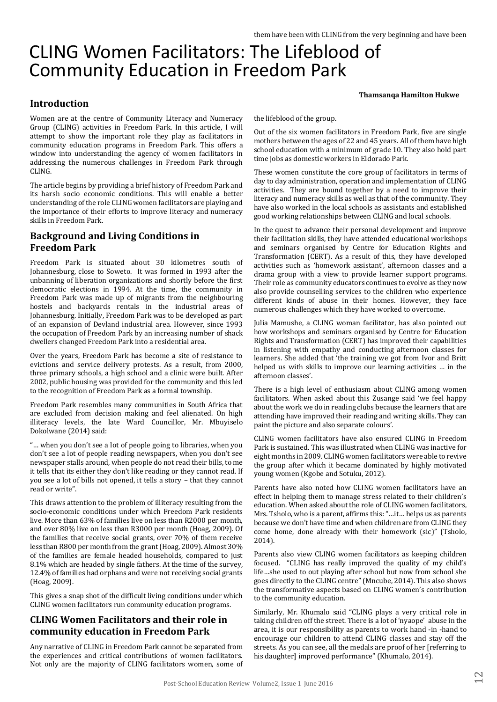# CLING Women Facilitators: The Lifeblood of Community Education in Freedom Park

### **Introduction**

Women are at the centre of Community Literacy and Numeracy Group (CLING) activities in Freedom Park. In this article, I will attempt to show the important role they play as facilitators in community education programs in Freedom Park. This offers a window into understanding the agency of women facilitators in addressing the numerous challenges in Freedom Park through CLING.

The article begins by providing a brief history of Freedom Park and its harsh socio economic conditions. This will enable a better understanding of the role CLING women facilitators are playing and the importance of their efforts to improve literacy and numeracy skills in Freedom Park.

### **Background and Living Conditions in Freedom Park**

Freedom Park is situated about 30 kilometres south of Johannesburg, close to Soweto. It was formed in 1993 after the unbanning of liberation organizations and shortly before the first democratic elections in 1994. At the time, the community in Freedom Park was made up of migrants from the neighbouring hostels and backyards rentals in the industrial areas of Johannesburg. Initially, Freedom Park was to be developed as part of an expansion of Devland industrial area. However, since 1993 the occupation of Freedom Park by an increasing number of shack dwellers changed Freedom Park into a residential area.

Over the years, Freedom Park has become a site of resistance to evictions and service delivery protests. As a result, from 2000, three primary schools, a high school and a clinic were built. After 2002, public housing was provided for the community and this led to the recognition of Freedom Park as a formal township.

Freedom Park resembles many communities in South Africa that are excluded from decision making and feel alienated. On high illiteracy levels, the late Ward Councillor, Mr. Mbuyiselo Dokolwane (2014) said:

"… when you don't see a lot of people going to libraries, when you don't see a lot of people reading newspapers, when you don't see newspaper stalls around, when people do not read their bills, to me it tells that its either they don't like reading or they cannot read. If you see a lot of bills not opened, it tells a story – that they cannot read or write".

This draws attention to the problem of illiteracy resulting from the socio-economic conditions under which Freedom Park residents live. More than 63% of families live on less than R2000 per month, and over 80% live on less than R3000 per month (Hoag, 2009). Of the families that receive social grants, over 70% of them receive less than R800 per month from the grant (Hoag, 2009). Almost 30% of the families are female headed households, compared to just 8.1% which are headed by single fathers. At the time of the survey, 12.4% of families had orphans and were not receiving social grants (Hoag, 2009).

This gives a snap shot of the difficult living conditions under which CLING women facilitators run community education programs.

### **CLING Women Facilitators and their role in community education in Freedom Park**

Any narrative of CLING in Freedom Park cannot be separated from the experiences and critical contributions of women facilitators. Not only are the majority of CLING facilitators women, some of

#### **Thamsanqa Hamilton Hukwe**

the lifeblood of the group.

Out of the six women facilitators in Freedom Park, five are single mothers between the ages of 22 and 45 years. All of them have high school education with a minimum of grade 10. They also hold part time jobs as domestic workers in Eldorado Park.

These women constitute the core group of facilitators in terms of day to day administration, operation and implementation of CLING activities. They are bound together by a need to improve their literacy and numeracy skills as well as that of the community. They have also worked in the local schools as assistants and established good working relationships between CLING and local schools.

In the quest to advance their personal development and improve their facilitation skills, they have attended educational workshops and seminars organised by Centre for Education Rights and Transformation (CERT). As a result of this, they have developed activities such as 'homework assistant', afternoon classes and a drama group with a view to provide learner support programs. Their role as community educators continues to evolve as they now also provide counselling services to the children who experience different kinds of abuse in their homes. However, they face numerous challenges which they have worked to overcome.

Julia Mamushe, a CLING woman facilitator, has also pointed out how workshops and seminars organised by Centre for Education Rights and Transformation (CERT) has improved their capabilities in listening with empathy and conducting afternoon classes for learners. She added that 'the training we got from Ivor and Britt helped us with skills to improve our learning activities … in the afternoon classes'.

There is a high level of enthusiasm about CLING among women facilitators. When asked about this Zusange said 'we feel happy about the work we do in reading clubs because the learners that are attending have improved their reading and writing skills. They can paint the picture and also separate colours'.

CLING women facilitators have also ensured CLING in Freedom Park is sustained. This was illustrated when CLING was inactive for eight months in 2009. CLING women facilitators were able to revive the group after which it became dominated by highly motivated young women (Kgobe and Sotuku, 2012).

Parents have also noted how CLING women facilitators have an effect in helping them to manage stress related to their children's education. When asked about the role of CLING women facilitators, Mrs. Tsholo, who is a parent, affirms this: "…it… helps us as parents because we don't have time and when children are from CLING they come home, done already with their homework (sic)" (Tsholo, 2014).

Parents also view CLING women facilitators as keeping children focused. "CLING has really improved the quality of my child's life…she used to out playing after school but now from school she goes directly to the CLING centre" (Mncube, 2014). This also shows the transformative aspects based on CLING women's contribution to the community education.

Similarly, Mr. Khumalo said "CLING plays a very critical role in taking children off the street. There is a lot of 'nyaope' abuse in the area, it is our responsibility as parents to work hand -in -hand to encourage our children to attend CLING classes and stay off the streets. As you can see, all the medals are proof of her [referring to his daughter] improved performance" (Khumalo, 2014).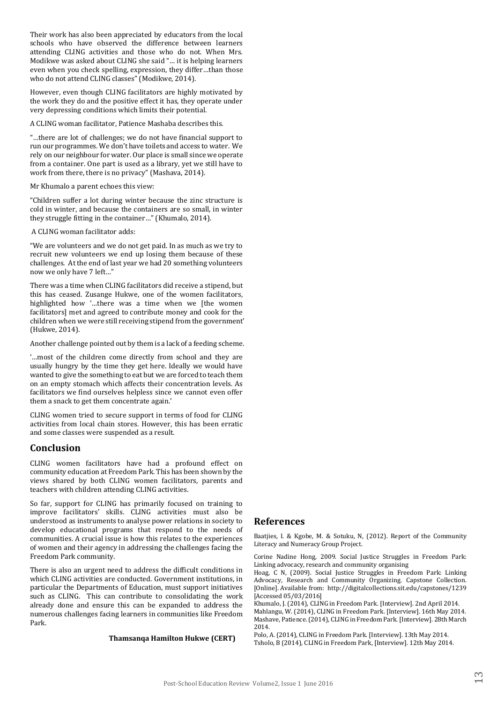Their work has also been appreciated by educators from the local schools who have observed the difference between learners attending CLING activities and those who do not. When Mrs. Modikwe was asked about CLING she said "… it is helping learners even when you check spelling, expression, they differ…than those who do not attend CLING classes" (Modikwe, 2014).

However, even though CLING facilitators are highly motivated by the work they do and the positive effect it has, they operate under very depressing conditions which limits their potential.

A CLING woman facilitator, Patience Mashaba describes this.

"…there are lot of challenges; we do not have financial support to run our programmes. We don't have toilets and access to water. We rely on our neighbour for water. Our place is small since we operate from a container. One part is used as a library, yet we still have to work from there, there is no privacy" (Mashava, 2014).

Mr Khumalo a parent echoes this view:

"Children suffer a lot during winter because the zinc structure is cold in winter, and because the containers are so small, in winter they struggle fitting in the container…" (Khumalo, 2014).

A CLING woman facilitator adds:

"We are volunteers and we do not get paid. In as much as we try to recruit new volunteers we end up losing them because of these challenges. At the end of last year we had 20 something volunteers now we only have 7 left…"

There was a time when CLING facilitators did receive a stipend, but this has ceased. Zusange Hukwe, one of the women facilitators, highlighted how '…there was a time when we [the women facilitators] met and agreed to contribute money and cook for the children when we were still receiving stipend from the government' (Hukwe, 2014).

Another challenge pointed out by them is a lack of a feeding scheme.

'…most of the children come directly from school and they are usually hungry by the time they get here. Ideally we would have wanted to give the something to eat but we are forced to teach them on an empty stomach which affects their concentration levels. As facilitators we find ourselves helpless since we cannot even offer them a snack to get them concentrate again.'

CLING women tried to secure support in terms of food for CLING activities from local chain stores. However, this has been erratic and some classes were suspended as a result.

#### **Conclusion**

CLING women facilitators have had a profound effect on community education at Freedom Park. This has been shown by the views shared by both CLING women facilitators, parents and teachers with children attending CLING activities.

So far, support for CLING has primarily focused on training to improve facilitators' skills. CLING activities must also be understood as instruments to analyse power relations in society to develop educational programs that respond to the needs of communities. A crucial issue is how this relates to the experiences of women and their agency in addressing the challenges facing the Freedom Park community.

There is also an urgent need to address the difficult conditions in which CLING activities are conducted. Government institutions, in particular the Departments of Education, must support initiatives such as CLING. This can contribute to consolidating the work already done and ensure this can be expanded to address the numerous challenges facing learners in communities like Freedom Park.

#### **References**

Baatjies, I. & Kgobe, M. & Sotuku, N, (2012). Report of the Community Literacy and Numeracy Group Project.

Corine Nadine Hong, 2009. Social Justice Struggles in Freedom Park: Linking advocacy, research and community organising

Hoag, C N, (2009). Social Justice Struggles in Freedom Park: Linking Advocacy, Research and Community Organizing. Capstone Collection. [Online]. Available from: http://digitalcollections.sit.edu/capstones/1239 [Accessed 05/03/2016]

Khumalo, J. (2014), CLING in Freedom Park. [Interview]. 2nd April 2014. Mahlangu, W. (2014), CLING in Freedom Park. [Interview]. 16th May 2014. Mashave, Patience. (2014), CLING in Freedom Park. [Interview]. 28th March 2014.

Polo, A. (2014), CLING in Freedom Park. [Interview]. 13th May 2014. Tsholo, B (2014), CLING in Freedom Park, [Interview]. 12th May 2014. **Thamsanqa Hamilton Hukwe (CERT)**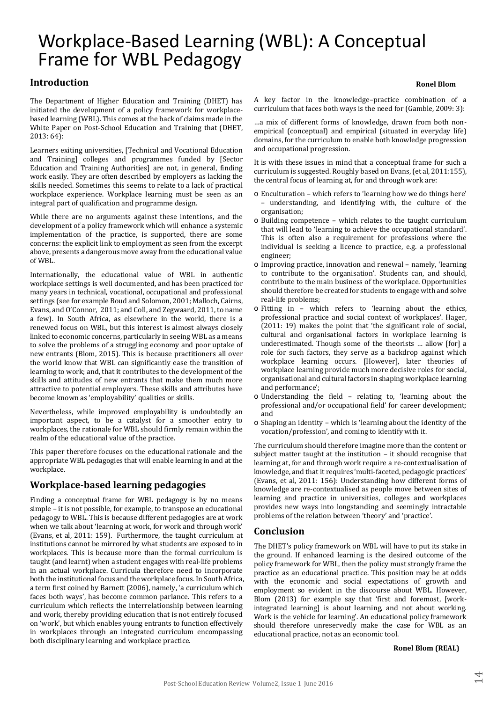# Workplace-Based Learning (WBL): A Conceptual Frame for WBL Pedagogy

### **Introduction**

The Department of Higher Education and Training (DHET) has initiated the development of a policy framework for workplacebased learning (WBL). This comes at the back of claims made in the White Paper on Post-School Education and Training that (DHET, 2013: 64):

Learners exiting universities, [Technical and Vocational Education and Training] colleges and programmes funded by [Sector Education and Training Authorities] are not, in general, finding work easily. They are often described by employers as lacking the skills needed. Sometimes this seems to relate to a lack of practical workplace experience. Workplace learning must be seen as an integral part of qualification and programme design.

While there are no arguments against these intentions, and the development of a policy framework which will enhance a systemic implementation of the practice, is supported, there are some concerns: the explicit link to employment as seen from the excerpt above, presents a dangerous move away from the educational value of WBL.

Internationally, the educational value of WBL in authentic workplace settings is well documented, and has been practiced for many years in technical, vocational, occupational and professional settings (see for example Boud and Solomon, 2001; Malloch, Cairns, Evans, and O'Connor, 2011; and Coll, and Zegwaard, 2011, to name a few). In South Africa, as elsewhere in the world, there is a renewed focus on WBL, but this interest is almost always closely linked to economic concerns, particularly in seeing WBL as a means to solve the problems of a struggling economy and poor uptake of new entrants (Blom, 2015). This is because practitioners all over the world know that WBL can significantly ease the transition of learning to work; and, that it contributes to the development of the skills and attitudes of new entrants that make them much more attractive to potential employers. These skills and attributes have become known as 'employability' qualities or skills.

Nevertheless, while improved employability is undoubtedly an important aspect, to be a catalyst for a smoother entry to workplaces, the rationale for WBL should firmly remain within the realm of the educational value of the practice.

This paper therefore focuses on the educational rationale and the appropriate WBL pedagogies that will enable learning in and at the workplace.

### **Workplace-based learning pedagogies**

Finding a conceptual frame for WBL pedagogy is by no means simple – it is not possible, for example, to transpose an educational pedagogy to WBL. This is because different pedagogies are at work when we talk about 'learning at work, for work and through work' (Evans, et al, 2011: 159). Furthermore, the taught curriculum at institutions cannot be mirrored by what students are exposed to in workplaces. This is because more than the formal curriculum is taught (and learnt) when a student engages with real-life problems in an actual workplace. Curricula therefore need to incorporate both the institutional focus and the workplace focus. In South Africa, a term first coined by Barnett (2006), namely, 'a curriculum which faces both ways', has become common parlance. This refers to a curriculum which reflects the interrelationship between learning and work, thereby providing education that is not entirely focused on 'work', but which enables young entrants to function effectively in workplaces through an integrated curriculum encompassing both disciplinary learning and workplace practice.

#### **Ronel Blom**

A key factor in the knowledge–practice combination of a curriculum that faces both ways is the need for (Gamble, 2009: 3):

…a mix of different forms of knowledge, drawn from both nonempirical (conceptual) and empirical (situated in everyday life) domains, for the curriculum to enable both knowledge progression and occupational progression.

It is with these issues in mind that a conceptual frame for such a curriculum is suggested. Roughly based on Evans, (et al, 2011:155), the central focus of learning at, for and through work are:

- o Enculturation which refers to 'learning how we do things here' – understanding, and identifying with, the culture of the organisation;
- o Building competence which relates to the taught curriculum that will lead to 'learning to achieve the occupational standard'. This is often also a requirement for professions where the individual is seeking a licence to practice, e.g. a professional engineer;
- o Improving practice, innovation and renewal namely, 'learning to contribute to the organisation'. Students can, and should, contribute to the main business of the workplace. Opportunities should therefore be created for students to engage with and solve real-life problems;
- o Fitting in which refers to 'learning about the ethics, professional practice and social context of workplaces'. Hager, (2011: 19) makes the point that 'the significant role of social, cultural and organisational factors in workplace learning is underestimated. Though some of the theorists … allow [for] a role for such factors, they serve as a backdrop against which workplace learning occurs. [However], later theories of workplace learning provide much more decisive roles for social, organisational and cultural factors in shaping workplace learning and performance';
- o Understanding the field relating to, 'learning about the professional and/or occupational field' for career development; and
- o Shaping an identity which is 'learning about the identity of the vocation/profession', and coming to identify with it.

The curriculum should therefore imagine more than the content or subject matter taught at the institution – it should recognise that learning at, for and through work require a re-contextualisation of knowledge, and that it requires 'multi-faceted, pedagogic practices' (Evans, et al, 2011: 156): Understanding how different forms of knowledge are re-contextualised as people move between sites of learning and practice in universities, colleges and workplaces provides new ways into longstanding and seemingly intractable problems of the relation between 'theory' and 'practice'.

### **Conclusion**

The DHET's policy framework on WBL will have to put its stake in the ground. If enhanced learning is the desired outcome of the policy framework for WBL, then the policy must strongly frame the practice as an educational practice. This position may be at odds with the economic and social expectations of growth and employment so evident in the discourse about WBL. However, Blom (2013) for example say that 'first and foremost, [workintegrated learning] is about learning, and not about working. Work is the vehicle for learning'. An educational policy framework should therefore unreservedly make the case for WBL as an educational practice, not as an economic tool.

#### **Ronel Blom (REAL)**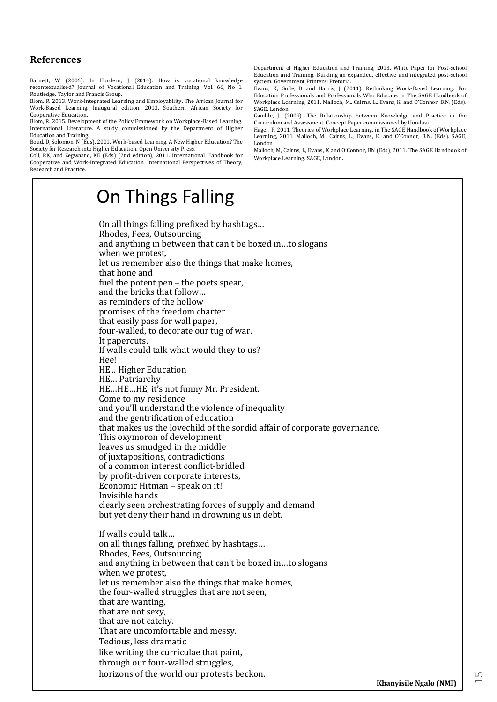#### **References**

Barnett, W (2006). In Hordern, J (2014). How is vocational knowledge recontextualised? Journal of Vocational Education and Training. Vol. 66, No 1. Routledge. Taylor and Francis Group.

Blom, R. 2013. Work-Integrated Learning and Employability. The African Journal for Work-Based Learning. Inaugural edition, 2013. Southern African Society for Cooperative Education.

Blom, R. 2015. Development of the Policy Framework on Workplace-Based Learning. International Literature. A study commissioned by the Department of Higher Education and Training.

Boud, D, Solomon, N (Eds), 2001. Work-based Learning. A New Higher Education? The Society for Research into Higher Education. Open University Press.

Coll, RK, and Zegwaard, KE (Eds) (2nd edition), 2011. International Handbook for Cooperative and Work-Integrated Education. International Perspectives of Theory, Research and Practice.

Department of Higher Education and Training, 2013. White Paper for Post-school Education and Training. Building an expanded, effective and integrated post-school system. Government Printers: Pretoria.

Evans, K, Guile, D and Harris, J (2011). Rethinking Work-Based Learning: For Education Professionals and Professionals Who Educate. in The SAGE Handbook of Workplace Learning, 2011. Malloch, M., Cairns, L., Evans, K. and O'Connor, B.N. (Eds). SAGE, London.

Gamble, J. (2009). The Relationship between Knowledge and Practice in the Curriculum and Assessment. Concept Paper commissioned by Umalusi.

Hager, P. 2011. Theories of Workplace Learning. in The SAGE Handbook of Workplace Learning, 2011. Malloch, M., Cairns, L., Evans, K. and O'Connor, B.N. (Eds). SAGE, London

Malloch, M, Cairns, L, Evans, K and O'Connor, BN (Eds), 2011. The SAGE Handbook of Workplace Learning. SAGE, London.

#### On all things falling prefixed by hashtags… Rhodes, Fees, Outsourcing and anything in between that can't be boxed in…to slogans when we protest, let us remember also the things that make homes, that hone and fuel the potent pen – the poets spear, and the bricks that follow… as reminders of the hollow promises of the freedom charter that easily pass for wall paper, four-walled, to decorate our tug of war. It papercuts. If walls could talk what would they to us? Hee! HE... Higher Education HE… Patriarchy HE…HE…HE, it's not funny Mr. President. Come to my residence and you'll understand the violence of inequality and the gentrification of education that makes us the lovechild of the sordid affair of corporate governance. This oxymoron of development leaves us smudged in the middle of juxtapositions, contradictions of a common interest conflict-bridled by profit-driven corporate interests, Economic Hitman – speak on it! Invisible hands clearly seen orchestrating forces of supply and demand but yet deny their hand in drowning us in debt. If walls could talk… on all things falling, prefixed by hashtags… Rhodes, Fees, Outsourcing and anything in between that can't be boxed in…to slogans when we protest, let us remember also the things that make homes, the four-walled struggles that are not seen, that are wanting, that are not sexy, that are not catchy. That are uncomfortable and messy. Tedious, less dramatic On Things Falling

like writing the curriculae that paint, through our four-walled struggles,

horizons of the world our protests beckon.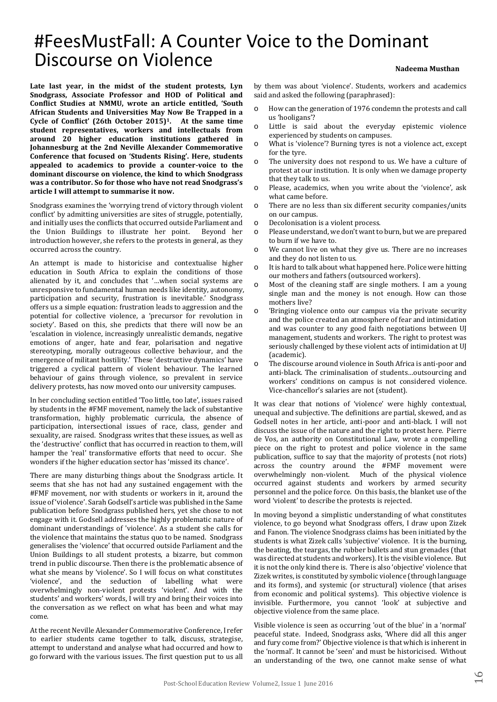# #FeesMustFall: A Counter Voice to the Dominant Discourse on Violence

**Late last year, in the midst of the student protests, Lyn Snodgrass, Associate Professor and HOD of Political and Conflict Studies at NMMU, wrote an article entitled, 'South African Students and Universities May Now Be Trapped in a Cycle of Conflict' (26th October 2015)1. At the same time student representatives, workers and intellectuals from around 20 higher education institutions gathered in Johannesburg at the 2nd Neville Alexander Commemorative Conference that focused on 'Students Rising'. Here, students appealed to academics to provide a counter-voice to the dominant discourse on violence, the kind to which Snodgrass was a contributor. So for those who have not read Snodgrass's article I will attempt to summarise it now.** 

Snodgrass examines the 'worrying trend of victory through violent conflict' by admitting universities are sites of struggle, potentially, and initially uses the conflicts that occurred outside Parliament and the Union Buildings to illustrate her point. Beyond her introduction however, she refers to the protests in general, as they occurred across the country.

An attempt is made to historicise and contextualise higher education in South Africa to explain the conditions of those alienated by it, and concludes that '…when social systems are unresponsive to fundamental human needs like identity, autonomy, participation and security, frustration is inevitable.' Snodgrass offers us a simple equation: frustration leads to aggression and the potential for collective violence, a 'precursor for revolution in society'. Based on this, she predicts that there will now be an 'escalation in violence, increasingly unrealistic demands, negative emotions of anger, hate and fear, polarisation and negative stereotyping, morally outrageous collective behaviour, and the emergence of militant hostility.' These 'destructive dynamics' have triggered a cyclical pattern of violent behaviour. The learned behaviour of gains through violence, so prevalent in service delivery protests, has now moved onto our university campuses.

In her concluding section entitled 'Too little, too late', issues raised by students in the #FMF movement, namely the lack of substantive transformation, highly problematic curricula, the absence of participation, intersectional issues of race, class, gender and sexuality, are raised. Snodgrass writes that these issues, as well as the 'destructive' conflict that has occurred in reaction to them, will hamper the 'real' transformative efforts that need to occur. She wonders if the higher education sector has 'missed its chance'.

There are many disturbing things about the Snodgrass article. It seems that she has not had any sustained engagement with the #FMF movement, nor with students or workers in it, around the issue of 'violence'. Sarah Godsell's article was published in the Same publication before Snodgrass published hers, yet she chose to not engage with it. Godsell addresses the highly problematic nature of dominant understandings of 'violence'. As a student she calls for the violence that maintains the status quo to be named. Snodgrass generalises the 'violence' that occurred outside Parliament and the Union Buildings to all student protests, a bizarre, but common trend in public discourse. Then there is the problematic absence of what she means by 'violence'. So I will focus on what constitutes 'violence', and the seduction of labelling what were overwhelmingly non-violent protests 'violent'. And with the students' and workers' words, I will try and bring their voices into the conversation as we reflect on what has been and what may come.

At the recent Neville Alexander Commemorative Conference, I refer to earlier students came together to talk, discuss, strategise, attempt to understand and analyse what had occurred and how to go forward with the various issues. The first question put to us all

#### **Nadeema Musthan**

by them was about 'violence'. Students, workers and academics said and asked the following (paraphrased):

- o How can the generation of 1976 condemn the protests and call us 'hooligans'?
- o Little is said about the everyday epistemic violence experienced by students on campuses.
- What is 'violence'? Burning tyres is not a violence act, except for the tyre.
- o The university does not respond to us. We have a culture of protest at our institution. It is only when we damage property that they talk to us.
- o Please, academics, when you write about the 'violence', ask what came before.
- o There are no less than six different security companies/units on our campus.
- o Decolonisation is a violent process.
- o Please understand, we don't want to burn, but we are prepared to burn if we have to.
- o We cannot live on what they give us. There are no increases and they do not listen to us.
- o It is hard to talk about what happened here. Police were hitting our mothers and fathers (outsourced workers).
- o Most of the cleaning staff are single mothers. I am a young single man and the money is not enough. How can those mothers live?
- 'Bringing violence onto our campus via the private security and the police created an atmosphere of fear and intimidation and was counter to any good faith negotiations between UJ management, students and workers. The right to protest was seriously challenged by these violent acts of intimidation at UJ (academic).
- o The discourse around violence in South Africa is anti-poor and anti-black. The criminalisation of students…outsourcing and workers' conditions on campus is not considered violence. Vice-chancellor's salaries are not (student).

It was clear that notions of 'violence' were highly contextual, unequal and subjective. The definitions are partial, skewed, and as Godsell notes in her article, anti-poor and anti-black. I will not discuss the issue of the nature and the right to protest here. Pierre de Vos, an authority on Constitutional Law, wrote a compelling piece on the right to protest and police violence in the same publication, suffice to say that the majority of protests (not riots) across the country around the #FMF movement were overwhelmingly non-violent. Much of the physical violence occurred against students and workers by armed security personnel and the police force. On this basis, the blanket use of the word 'violent' to describe the protests is rejected.

In moving beyond a simplistic understanding of what constitutes violence, to go beyond what Snodgrass offers, I draw upon Zizek and Fanon. The violence Snodgrass claims has been initiated by the students is what Zizek calls 'subjective' violence. It is the burning, the beating, the teargas, the rubber bullets and stun grenades (that was directed at students and workers). It is the visible violence. But it is not the only kind there is. There is also 'objective' violence that Zizek writes, is constituted by symbolic violence (through language and its forms), and systemic (or structural) violence (that arises from economic and political systems). This objective violence is invisible. Furthermore, you cannot 'look' at subjective and objective violence from the same place.

Visible violence is seen as occurring 'out of the blue' in a 'normal' peaceful state. Indeed, Snodgrass asks, 'Where did all this anger and fury come from?' Objective violence is that which is inherent in the 'normal'. It cannot be 'seen' and must be historicised. Without an understanding of the two, one cannot make sense of what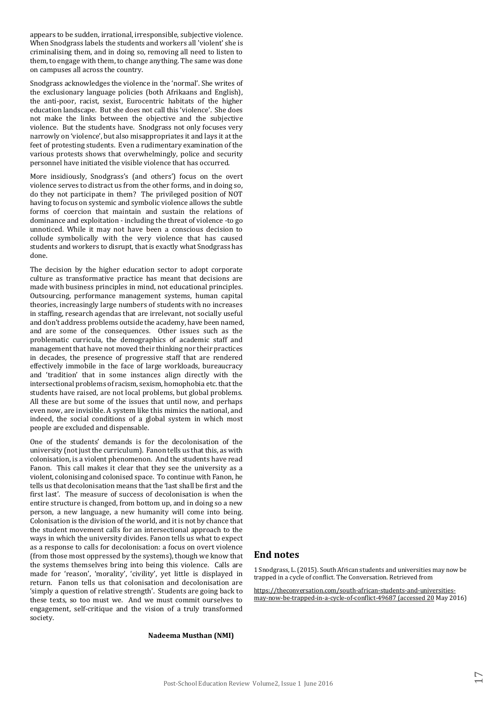appears to be sudden, irrational, irresponsible, subjective violence. When Snodgrass labels the students and workers all 'violent' she is criminalising them, and in doing so, removing all need to listen to them, to engage with them, to change anything. The same was done on campuses all across the country.

Snodgrass acknowledges the violence in the 'normal'. She writes of the exclusionary language policies (both Afrikaans and English), the anti-poor, racist, sexist, Eurocentric habitats of the higher education landscape. But she does not call this 'violence'. She does not make the links between the objective and the subjective violence. But the students have. Snodgrass not only focuses very narrowly on 'violence', but also misappropriates it and lays it at the feet of protesting students. Even a rudimentary examination of the various protests shows that overwhelmingly, police and security personnel have initiated the visible violence that has occurred.

More insidiously, Snodgrass's (and others') focus on the overt violence serves to distract us from the other forms, and in doing so, do they not participate in them? The privileged position of NOT having to focus on systemic and symbolic violence allows the subtle forms of coercion that maintain and sustain the relations of dominance and exploitation - including the threat of violence -to go unnoticed. While it may not have been a conscious decision to collude symbolically with the very violence that has caused students and workers to disrupt, that is exactly what Snodgrass has done.

The decision by the higher education sector to adopt corporate culture as transformative practice has meant that decisions are made with business principles in mind, not educational principles. Outsourcing, performance management systems, human capital theories, increasingly large numbers of students with no increases in staffing, research agendas that are irrelevant, not socially useful and don't address problems outside the academy, have been named, and are some of the consequences. Other issues such as the problematic curricula, the demographics of academic staff and management that have not moved their thinking nor their practices in decades, the presence of progressive staff that are rendered effectively immobile in the face of large workloads, bureaucracy and 'tradition' that in some instances align directly with the intersectional problems of racism, sexism, homophobia etc. that the students have raised, are not local problems, but global problems. All these are but some of the issues that until now, and perhaps even now, are invisible. A system like this mimics the national, and indeed, the social conditions of a global system in which most people are excluded and dispensable.

One of the students' demands is for the decolonisation of the university (not just the curriculum). Fanon tells us that this, as with colonisation, is a violent phenomenon. And the students have read Fanon. This call makes it clear that they see the university as a violent, colonising and colonised space. To continue with Fanon, he tells us that decolonisation means that the 'last shall be first and the first last'. The measure of success of decolonisation is when the entire structure is changed, from bottom up, and in doing so a new person, a new language, a new humanity will come into being. Colonisation is the division of the world, and it is not by chance that the student movement calls for an intersectional approach to the ways in which the university divides. Fanon tells us what to expect as a response to calls for decolonisation: a focus on overt violence (from those most oppressed by the systems), though we know that the systems themselves bring into being this violence. Calls are made for 'reason', 'morality', 'civility', yet little is displayed in return. Fanon tells us that colonisation and decolonisation are 'simply a question of relative strength'. Students are going back to these texts, so too must we. And we must commit ourselves to engagement, self-critique and the vision of a truly transformed society.

**End notes** 

1 Snodgrass, L. (2015). South African students and universities may now be trapped in a cycle of conflict. The Conversation. Retrieved from

[https://theconversation.com/south-african-students-and-universities](https://theconversation.com/south-african-students-and-universities-may-now-be-trapped-in-a-cycle-of-conflict-49687%20(accessed%2020)[may-now-be-trapped-in-a-cycle-of-conflict-49687 \(accessed 20 M](https://theconversation.com/south-african-students-and-universities-may-now-be-trapped-in-a-cycle-of-conflict-49687%20(accessed%2020)ay 2016)

**Nadeema Musthan (NMI)**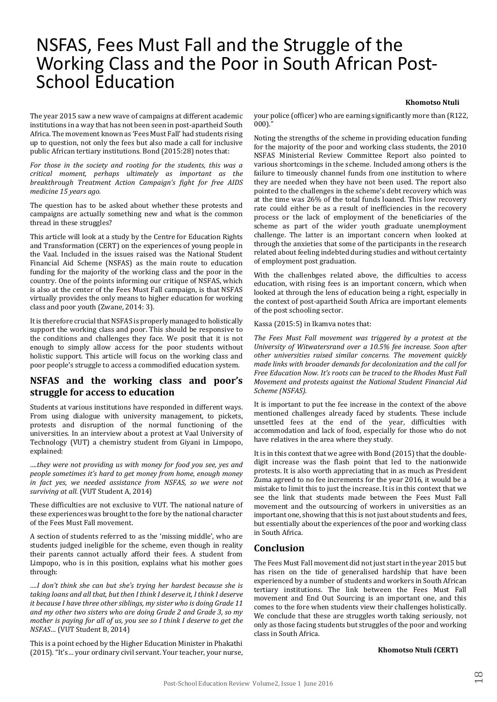# NSFAS, Fees Must Fall and the Struggle of the Working Class and the Poor in South African Post-School Education

The year 2015 saw a new wave of campaigns at different academic institutions in a way that has not been seen in post-apartheid South Africa. The movement known as 'Fees Must Fall' had students rising up to question, not only the fees but also made a call for inclusive public African tertiary institutions. Bond (2015:28) notes that:

*For those in the society and rooting for the students, this was a critical moment, perhaps ultimately as important as the breakthrough Treatment Action Campaign's fight for free AIDS medicine 15 years ago.* 

The question has to be asked about whether these protests and campaigns are actually something new and what is the common thread in these struggles?

This article will look at a study by the Centre for Education Rights and Transformation (CERT) on the experiences of young people in the Vaal. Included in the issues raised was the National Student Financial Aid Scheme (NSFAS) as the main route to education funding for the majority of the working class and the poor in the country. One of the points informing our critique of NSFAS, which is also at the center of the Fees Must Fall campaign, is that NSFAS virtually provides the only means to higher education for working class and poor youth (Zwane, 2014: 3).

It is therefore crucial that NSFAS is properly managed to holistically support the working class and poor. This should be responsive to the conditions and challenges they face. We posit that it is not enough to simply allow access for the poor students without holistic support. This article will focus on the working class and poor people's struggle to access a commodified education system.

### **NSFAS and the working class and poor's struggle for access to education**

Students at various institutions have responded in different ways. From using dialogue with university management, to pickets, protests and disruption of the normal functioning of the universities. In an interview about a protest at Vaal University of Technology (VUT) a chemistry student from Giyani in Limpopo, explained:

*….they were not providing us with money for food you see, yes and people sometimes it's hard to get money from home, enough money in fact yes, we needed assistance from NSFAS, so we were not surviving at all.* (VUT Student A, 2014)

These difficulties are not exclusive to VUT. The national nature of these experiences was brought to the fore by the national character of the Fees Must Fall movement.

A section of students referred to as the 'missing middle', who are students judged ineligible for the scheme, even though in reality their parents cannot actually afford their fees. A student from Limpopo, who is in this position, explains what his mother goes through:

*….I don't think she can but she's trying her hardest because she is taking loans and all that, but then I think I deserve it, I think I deserve it because I have three other siblings, my sister who is doing Grade 11 and my other two sisters who are doing Grade 2 and Grade 3, so my mother is paying for all of us, you see so I think I deserve to get the NSFAS…* (VUT Student B, 2014)

This is a point echoed by the Higher Education Minister in Phakathi (2015). "It's… your ordinary civil servant. Your teacher, your nurse,

#### **Khomotso Ntuli**

your police (officer) who are earning significantly more than (R122,  $000$ ."

Noting the strengths of the scheme in providing education funding for the majority of the poor and working class students, the 2010 NSFAS Ministerial Review Committee Report also pointed to various shortcomings in the scheme. Included among others is the failure to timeously channel funds from one institution to where they are needed when they have not been used. The report also pointed to the challenges in the scheme's debt recovery which was at the time was 26% of the total funds loaned. This low recovery rate could either be as a result of inefficiencies in the recovery process or the lack of employment of the beneficiaries of the scheme as part of the wider youth graduate unemployment challenge. The latter is an important concern when looked at through the anxieties that some of the participants in the research related about feeling indebted during studies and without certainty of employment post graduation.

With the challenbges related above, the difficulties to access education, with rising fees is an important concern, which when looked at through the lens of education being a right, especially in the context of post-apartheid South Africa are important elements of the post schooling sector.

Kassa (2015:5) in Ikamva notes that:

*The Fees Must Fall movement was triggered by a protest at the University of Witwatersrand over a 10.5% fee increase. Soon after other universities raised similar concerns. The movement quickly made links with broader demands for decolonization and the call for Free Education Now. It's roots can be traced to the Rhodes Must Fall Movement and protests against the National Student Financial Aid Scheme (NSFAS).* 

It is important to put the fee increase in the context of the above mentioned challenges already faced by students. These include unsettled fees at the end of the year, difficulties with accommodation and lack of food, especially for those who do not have relatives in the area where they study.

It is in this context that we agree with Bond (2015) that the doubledigit increase was the flash point that led to the nationwide protests. It is also worth appreciating that in as much as President Zuma agreed to no fee increments for the year 2016, it would be a mistake to limit this to just the increase. It is in this context that we see the link that students made between the Fees Must Fall movement and the outsourcing of workers in universities as an important one, showing that this is not just about students and fees, but essentially about the experiences of the poor and working class in South Africa.

#### **Conclusion**

The Fees Must Fall movement did not just start in the year 2015 but has risen on the tide of generalised hardship that have been experienced by a number of students and workers in South African tertiary institutions. The link between the Fees Must Fall movement and End Out Sourcing is an important one, and this comes to the fore when students view their challenges holistically. We conclude that these are struggles worth taking seriously, not only as those facing students but struggles of the poor and working class in South Africa.

#### **Khomotso Ntuli (CERT)**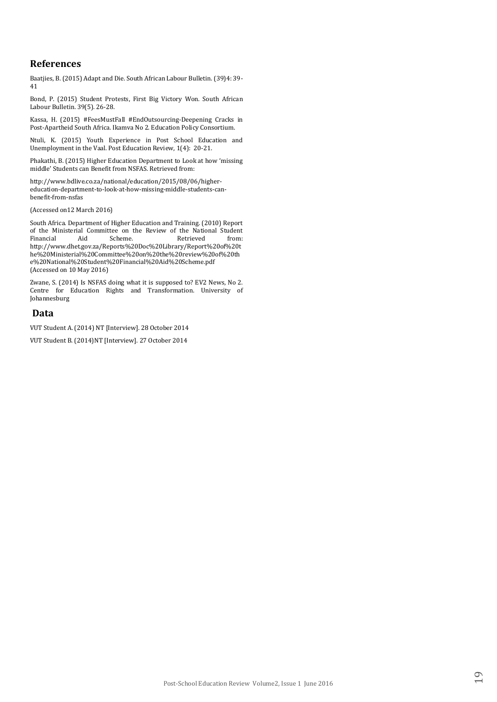#### **References**

Baatjies, B. (2015) Adapt and Die. South African Labour Bulletin. (39)4: 39- 41

Bond, P. (2015) Student Protests, First Big Victory Won. South African Labour Bulletin. 39(5). 26-28.

Kassa, H. (2015) #FeesMustFall #EndOutsourcing-Deepening Cracks in Post-Apartheid South Africa. Ikamva No 2. Education Policy Consortium.

Ntuli, K. (2015) Youth Experience in Post School Education and Unemployment in the Vaal. Post Education Review, 1(4): 20-21.

Phakathi, B. (2015) Higher Education Department to Look at how 'missing middle' Students can Benefit from NSFAS. Retrieved from:

http://www.bdlive.co.za/national/education/2015/08/06/highereducation-department-to-look-at-how-missing-middle-students-canbenefit-from-nsfas

(Accessed on12 March 2016)

South Africa. Department of Higher Education and Training. (2010) Report of the Ministerial Committee on the Review of the National Student Financial Aid Scheme. Retrieved from: http://www.dhet.gov.za/Reports%20Doc%20Library/Report%20of%20t he%20Ministerial%20Committee%20on%20the%20review%20of%20th e%20National%20Student%20Financial%20Aid%20Scheme.pdf (Accessed on 10 May 2016)

Zwane, S. (2014) Is NSFAS doing what it is supposed to? EV2 News, No 2. Centre for Education Rights and Transformation. University of Johannesburg

#### **Data**

VUT Student A. (2014) NT [Interview]. 28 October 2014

VUT Student B. (2014)NT [Interview]. 27 October 2014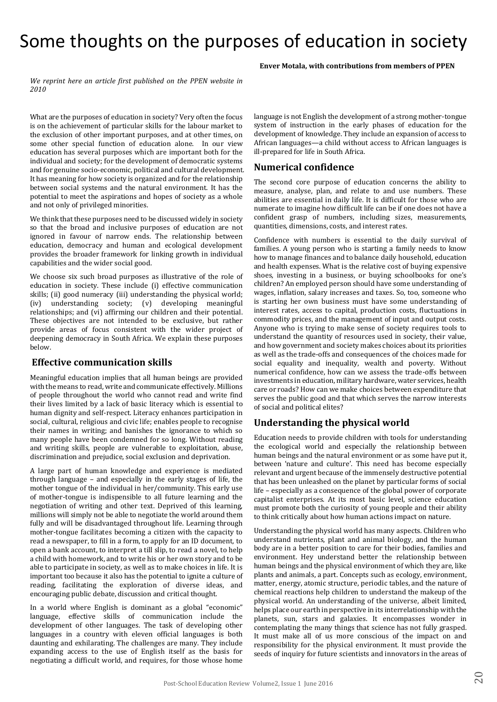# Some thoughts on the purposes of education in society

**Enver Motala, with contributions from members of PPEN**

*We reprint here an article first published on the PPEN website in 2010*

What are the purposes of education in society? Very often the focus is on the achievement of particular skills for the labour market to the exclusion of other important purposes, and at other times, on some other special function of education alone. In our view education has several purposes which are important both for the individual and society; for the development of democratic systems and for genuine socio-economic, political and cultural development. It has meaning for how society is organized and for the relationship between social systems and the natural environment. It has the potential to meet the aspirations and hopes of society as a whole and not only of privileged minorities.

We think that these purposes need to be discussed widely in society so that the broad and inclusive purposes of education are not ignored in favour of narrow ends. The relationship between education, democracy and human and ecological development provides the broader framework for linking growth in individual capabilities and the wider social good.

We choose six such broad purposes as illustrative of the role of education in society. These include (i) effective communication skills; (ii) good numeracy (iii) understanding the physical world; (iv) understanding society; (v) developing meaningful relationships; and (vi) affirming our children and their potential. These objectives are not intended to be exclusive, but rather provide areas of focus consistent with the wider project of deepening democracy in South Africa. We explain these purposes below.

#### **Effective communication skills**

Meaningful education implies that all human beings are provided with the means to read, write and communicate effectively. Millions of people throughout the world who cannot read and write find their lives limited by a lack of basic literacy which is essential to human dignity and self-respect. Literacy enhances participation in social, cultural, religious and civic life; enables people to recognise their names in writing; and banishes the ignorance to which so many people have been condemned for so long. Without reading and writing skills, people are vulnerable to exploitation, abuse, discrimination and prejudice, social exclusion and deprivation.

A large part of human knowledge and experience is mediated through language – and especially in the early stages of life, the mother tongue of the individual in her/community. This early use of mother-tongue is indispensible to all future learning and the negotiation of writing and other text. Deprived of this learning, millions will simply not be able to negotiate the world around them fully and will be disadvantaged throughout life. Learning through mother-tongue facilitates becoming a citizen with the capacity to read a newspaper, to fill in a form, to apply for an ID document, to open a bank account, to interpret a till slip, to read a novel, to help a child with homework, and to write his or her own story and to be able to participate in society, as well as to make choices in life. It is important too because it also has the potential to ignite a culture of reading, facilitating the exploration of diverse ideas, and encouraging public debate, discussion and critical thought.

In a world where English is dominant as a global "economic" language, effective skills of communication include the development of other languages. The task of developing other languages in a country with eleven official languages is both daunting and exhilarating. The challenges are many. They include expanding access to the use of English itself as the basis for negotiating a difficult world, and requires, for those whose home

language is not English the development of a strong mother-tongue system of instruction in the early phases of education for the development of knowledge. They include an expansion of access to African languages—a child without access to African languages is ill-prepared for life in South Africa.

### **Numerical confidence**

The second core purpose of education concerns the ability to measure, analyse, plan, and relate to and use numbers. These abilities are essential in daily life. It is difficult for those who are numerate to imagine how difficult life can be if one does not have a confident grasp of numbers, including sizes, measurements, quantities, dimensions, costs, and interest rates.

Confidence with numbers is essential to the daily survival of families. A young person who is starting a family needs to know how to manage finances and to balance daily household, education and health expenses. What is the relative cost of buying expensive shoes, investing in a business, or buying schoolbooks for one's children? An employed person should have some understanding of wages, inflation, salary increases and taxes. So, too, someone who is starting her own business must have some understanding of interest rates, access to capital, production costs, fluctuations in commodity prices, and the management of input and output costs. Anyone who is trying to make sense of society requires tools to understand the quantity of resources used in society, their value, and how government and society makes choices about its priorities as well as the trade-offs and consequences of the choices made for social equality and inequality, wealth and poverty. Without numerical confidence, how can we assess the trade-offs between investments in education, military hardware, water services, health care or roads? How can we make choices between expenditure that serves the public good and that which serves the narrow interests of social and political elites?

### **Understanding the physical world**

Education needs to provide children with tools for understanding the ecological world and especially the relationship between human beings and the natural environment or as some have put it, between 'nature and culture'. This need has become especially relevant and urgent because of the immensely destructive potential that has been unleashed on the planet by particular forms of social life – especially as a consequence of the global power of corporate capitalist enterprises. At its most basic level, science education must promote both the curiosity of young people and their ability to think critically about how human actions impact on nature.

Understanding the physical world has many aspects. Children who understand nutrients, plant and animal biology, and the human body are in a better position to care for their bodies, families and environment. Hey understand better the relationship between human beings and the physical environment of which they are, like plants and animals, a part. Concepts such as ecology, environment, matter, energy, atomic structure, periodic tables, and the nature of chemical reactions help children to understand the makeup of the physical world. An understanding of the universe, albeit limited, helps place our earth in perspective in its interrelationship with the planets, sun, stars and galaxies. It encompasses wonder in contemplating the many things that science has not fully grasped. It must make all of us more conscious of the impact on and responsibility for the physical environment. It must provide the seeds of inquiry for future scientists and innovators in the areas of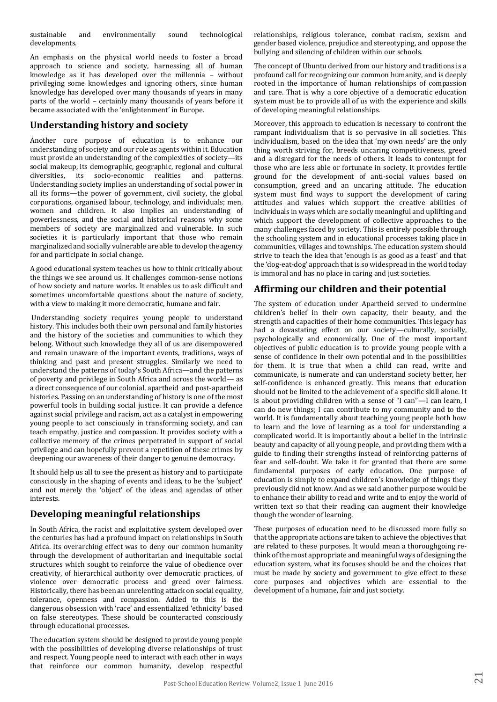sustainable and environmentally sound technological developments.

An emphasis on the physical world needs to foster a broad approach to science and society, harnessing all of human knowledge as it has developed over the millennia – without privileging some knowledges and ignoring others, since human knowledge has developed over many thousands of years in many parts of the world – certainly many thousands of years before it became associated with the 'enlightenment' in Europe.

#### **Understanding history and society**

Another core purpose of education is to enhance our understanding of society and our role as agents within it. Education must provide an understanding of the complexities of society—its social makeup, its demographic, geographic, regional and cultural diversities, its socio-economic realities and patterns. Understanding society implies an understanding of social power in all its forms—the power of government, civil society, the global corporations, organised labour, technology, and individuals; men, women and children. It also implies an understanding of powerlessness, and the social and historical reasons why some members of society are marginalized and vulnerable. In such societies it is particularly important that those who remain marginalized and socially vulnerable are able to develop the agency for and participate in social change.

A good educational system teaches us how to think critically about the things we see around us. It challenges common-sense notions of how society and nature works. It enables us to ask difficult and sometimes uncomfortable questions about the nature of society, with a view to making it more democratic, humane and fair.

 Understanding society requires young people to understand history. This includes both their own personal and family histories and the history of the societies and communities to which they belong. Without such knowledge they all of us are disempowered and remain unaware of the important events, traditions, ways of thinking and past and present struggles. Similarly we need to understand the patterns of today's South Africa—and the patterns of poverty and privilege in South Africa and across the world— as a direct consequence of our colonial, apartheid and post-apartheid histories. Passing on an understanding of history is one of the most powerful tools in building social justice. It can provide a defence against social privilege and racism, act as a catalyst in empowering young people to act consciously in transforming society, and can teach empathy, justice and compassion. It provides society with a collective memory of the crimes perpetrated in support of social privilege and can hopefully prevent a repetition of these crimes by deepening our awareness of their danger to genuine democracy.

It should help us all to see the present as history and to participate consciously in the shaping of events and ideas, to be the 'subject' and not merely the 'object' of the ideas and agendas of other interests.

### **Developing meaningful relationships**

In South Africa, the racist and exploitative system developed over the centuries has had a profound impact on relationships in South Africa. Its overarching effect was to deny our common humanity through the development of authoritarian and inequitable social structures which sought to reinforce the value of obedience over creativity, of hierarchical authority over democratic practices, of violence over democratic process and greed over fairness. Historically, there has been an unrelenting attack on social equality, tolerance, openness and compassion. Added to this is the dangerous obsession with 'race' and essentialized 'ethnicity' based on false stereotypes. These should be counteracted consciously through educational processes.

The education system should be designed to provide young people with the possibilities of developing diverse relationships of trust and respect. Young people need to interact with each other in ways that reinforce our common humanity, develop respectful relationships, religious tolerance, combat racism, sexism and gender based violence, prejudice and stereotyping, and oppose the bullying and silencing of children within our schools.

The concept of Ubuntu derived from our history and traditions is a profound call for recognizing our common humanity, and is deeply rooted in the importance of human relationships of compassion and care. That is why a core objective of a democratic education system must be to provide all of us with the experience and skills of developing meaningful relationships.

Moreover, this approach to education is necessary to confront the rampant individualism that is so pervasive in all societies. This individualism, based on the idea that 'my own needs' are the only thing worth striving for, breeds uncaring competitiveness, greed and a disregard for the needs of others. It leads to contempt for those who are less able or fortunate in society. It provides fertile ground for the development of anti-social values based on consumption, greed and an uncaring attitude. The education system must find ways to support the development of caring attitudes and values which support the creative abilities of individuals in ways which are socially meaningful and uplifting and which support the development of collective approaches to the many challenges faced by society. This is entirely possible through the schooling system and in educational processes taking place in communities, villages and townships. The education system should strive to teach the idea that 'enough is as good as a feast' and that the 'dog-eat-dog' approach that is so widespread in the world today is immoral and has no place in caring and just societies.

#### **Affirming our children and their potential**

The system of education under Apartheid served to undermine children's belief in their own capacity, their beauty, and the strength and capacities of their home communities. This legacy has had a devastating effect on our society—culturally, socially, psychologically and economically. One of the most important objectives of public education is to provide young people with a sense of confidence in their own potential and in the possibilities for them. It is true that when a child can read, write and communicate, is numerate and can understand society better, her self-confidence is enhanced greatly. This means that education should not be limited to the achievement of a specific skill alone. It is about providing children with a sense of "I can"—I can learn, I can do new things; I can contribute to my community and to the world. It is fundamentally about teaching young people both how to learn and the love of learning as a tool for understanding a complicated world. It is importantly about a belief in the intrinsic beauty and capacity of all young people, and providing them with a guide to finding their strengths instead of reinforcing patterns of fear and self-doubt. We take it for granted that there are some fundamental purposes of early education. One purpose of education is simply to expand children's knowledge of things they previously did not know. And as we said another purpose would be to enhance their ability to read and write and to enjoy the world of written text so that their reading can augment their knowledge though the wonder of learning.

These purposes of education need to be discussed more fully so that the appropriate actions are taken to achieve the objectives that are related to these purposes. It would mean a thoroughgoing rethink of the most appropriate and meaningful ways of designing the education system, what its focuses should be and the choices that must be made by society and government to give effect to these core purposes and objectives which are essential to the development of a humane, fair and just society.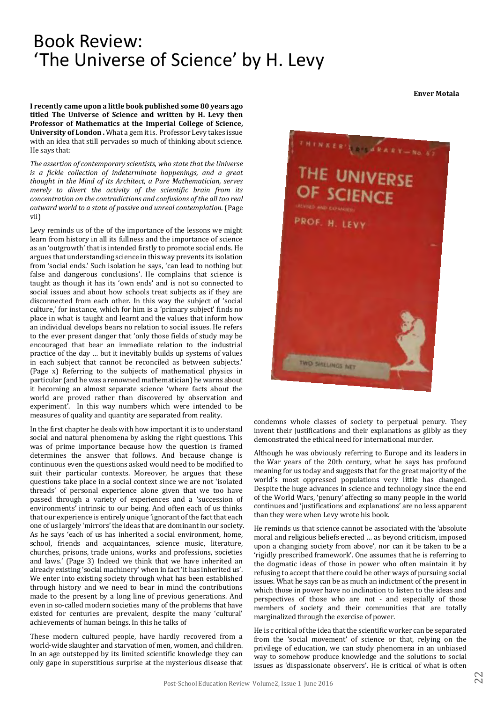# Book Review: 'The Universe of Science' by H. Levy

**I recently came upon a little book published some 80 years ago titled The Universe of Science and written by H. Levy then Professor of Mathematics at the Imperial College of Science, University of London .** What a gem it is. Professor Levy takes issue with an idea that still pervades so much of thinking about science. He says that:

*The assertion of contemporary scientists, who state that the Universe is a fickle collection of indeterminate happenings, and a great thought in the Mind of its Architect, a Pure Mathematician, serves merely to divert the activity of the scientific brain from its concentration on the contradictions and confusions of the all too real outward world to a state of passive and unreal contemplation.* (Page vii)

Levy reminds us of the of the importance of the lessons we might learn from history in all its fullness and the importance of science as an 'outgrowth' that is intended firstly to promote social ends. He argues that understanding science in this way prevents its isolation from 'social ends.' Such isolation he says, 'can lead to nothing but false and dangerous conclusions'. He complains that science is taught as though it has its 'own ends' and is not so connected to social issues and about how schools treat subjects as if they are disconnected from each other. In this way the subject of 'social culture,' for instance, which for him is a 'primary subject' finds no place in what is taught and learnt and the values that inform how an individual develops bears no relation to social issues. He refers to the ever present danger that 'only those fields of study may be encouraged that bear an immediate relation to the industrial practice of the day … but it inevitably builds up systems of values in each subject that cannot be reconciled as between subjects.' (Page x) Referring to the subjects of mathematical physics in particular (and he was a renowned mathematician) he warns about it becoming an almost separate science 'where facts about the world are proved rather than discovered by observation and experiment'. In this way numbers which were intended to be measures of quality and quantity are separated from reality.

In the first chapter he deals with how important it is to understand social and natural phenomena by asking the right questions. This was of prime importance because how the question is framed determines the answer that follows. And because change is continuous even the questions asked would need to be modified to suit their particular contexts. Moreover, he argues that these questions take place in a social context since we are not 'isolated threads' of personal experience alone given that we too have passed through a variety of experiences and a 'succession of environments' intrinsic to our being. And often each of us thinks that our experience is entirely unique 'ignorant of the fact that each one of us largely 'mirrors' the ideas that are dominant in our society. As he says 'each of us has inherited a social environment, home, school, friends and acquaintances, science music, literature, churches, prisons, trade unions, works and professions, societies and laws.' (Page 3) Indeed we think that we have inherited an already existing 'social machinery' when in fact 'it has inherited us'. We enter into existing society through what has been established through history and we need to bear in mind the contributions made to the present by a long line of previous generations. And even in so-called modern societies many of the problems that have existed for centuries are prevalent, despite the many 'cultural' achievements of human beings. In this he talks of

These modern cultured people, have hardly recovered from a world-wide slaughter and starvation of men, women, and children. In an age outstepped by its limited scientific knowledge they can only gape in superstitious surprise at the mysterious disease that **Enver Motala**



condemns whole classes of society to perpetual penury. They invent their justifications and their explanations as glibly as they demonstrated the ethical need for international murder.

Although he was obviously referring to Europe and its leaders in the War years of the 20th century, what he says has profound meaning for us today and suggests that for the great majority of the world's most oppressed populations very little has changed. Despite the huge advances in science and technology since the end of the World Wars, 'penury' affecting so many people in the world continues and 'justifications and explanations' are no less apparent than they were when Levy wrote his book.

He reminds us that science cannot be associated with the 'absolute moral and religious beliefs erected … as beyond criticism, imposed upon a changing society from above', nor can it be taken to be a 'rigidly prescribed framework'. One assumes that he is referring to the dogmatic ideas of those in power who often maintain it by refusing to accept that there could be other ways of pursuing social issues. What he says can be as much an indictment of the present in which those in power have no inclination to listen to the ideas and perspectives of those who are not - and especially of those members of society and their communities that are totally marginalized through the exercise of power.

He is c critical of the idea that the scientific worker can be separated from the 'social movement' of science or that, relying on the privilege of education, we can study phenomena in an unbiased way to somehow produce knowledge and the solutions to social issues as 'dispassionate observers'. He is critical of what is often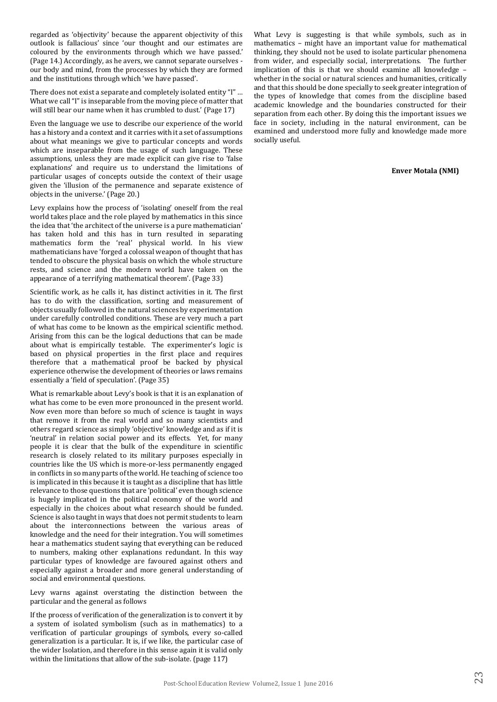regarded as 'objectivity' because the apparent objectivity of this outlook is fallacious' since 'our thought and our estimates are coloured by the environments through which we have passed.' (Page 14.) Accordingly, as he avers, we cannot separate ourselves our body and mind, from the processes by which they are formed and the institutions through which 'we have passed'.

There does not exist a separate and completely isolated entity "I" … What we call "I" is inseparable from the moving piece of matter that will still bear our name when it has crumbled to dust.' (Page 17)

Even the language we use to describe our experience of the world has a history and a context and it carries with it a set of assumptions about what meanings we give to particular concepts and words which are inseparable from the usage of such language. These assumptions, unless they are made explicit can give rise to 'false explanations' and require us to understand the limitations of particular usages of concepts outside the context of their usage given the 'illusion of the permanence and separate existence of objects in the universe.' (Page 20.)

Levy explains how the process of 'isolating' oneself from the real world takes place and the role played by mathematics in this since the idea that 'the architect of the universe is a pure mathematician' has taken hold and this has in turn resulted in separating mathematics form the 'real' physical world. In his view mathematicians have 'forged a colossal weapon of thought that has tended to obscure the physical basis on which the whole structure rests, and science and the modern world have taken on the appearance of a terrifying mathematical theorem'. (Page 33)

Scientific work, as he calls it, has distinct activities in it. The first has to do with the classification, sorting and measurement of objects usually followed in the natural sciences by experimentation under carefully controlled conditions. These are very much a part of what has come to be known as the empirical scientific method. Arising from this can be the logical deductions that can be made about what is empirically testable. The experimenter's logic is based on physical properties in the first place and requires therefore that a mathematical proof be backed by physical experience otherwise the development of theories or laws remains essentially a 'field of speculation'. (Page 35)

What is remarkable about Levy's book is that it is an explanation of what has come to be even more pronounced in the present world. Now even more than before so much of science is taught in ways that remove it from the real world and so many scientists and others regard science as simply 'objective' knowledge and as if it is 'neutral' in relation social power and its effects. Yet, for many people it is clear that the bulk of the expenditure in scientific research is closely related to its military purposes especially in countries like the US which is more-or-less permanently engaged in conflicts in so many parts of the world. He teaching of science too is implicated in this because it is taught as a discipline that has little relevance to those questions that are 'political' even though science is hugely implicated in the political economy of the world and especially in the choices about what research should be funded. Science is also taught in ways that does not permit students to learn about the interconnections between the various areas of knowledge and the need for their integration. You will sometimes hear a mathematics student saying that everything can be reduced to numbers, making other explanations redundant. In this way particular types of knowledge are favoured against others and especially against a broader and more general understanding of social and environmental questions.

Levy warns against overstating the distinction between the particular and the general as follows

If the process of verification of the generalization is to convert it by a system of isolated symbolism (such as in mathematics) to a verification of particular groupings of symbols, every so-called generalization is a particular. It is, if we like, the particular case of the wider Isolation, and therefore in this sense again it is valid only within the limitations that allow of the sub-isolate. (page 117)

What Levy is suggesting is that while symbols, such as in mathematics – might have an important value for mathematical thinking, they should not be used to isolate particular phenomena from wider, and especially social, interpretations. The further implication of this is that we should examine all knowledge – whether in the social or natural sciences and humanities, critically and that this should be done specially to seek greater integration of the types of knowledge that comes from the discipline based academic knowledge and the boundaries constructed for their separation from each other. By doing this the important issues we face in society, including in the natural environment, can be examined and understood more fully and knowledge made more socially useful.

#### **Enver Motala (NMI)**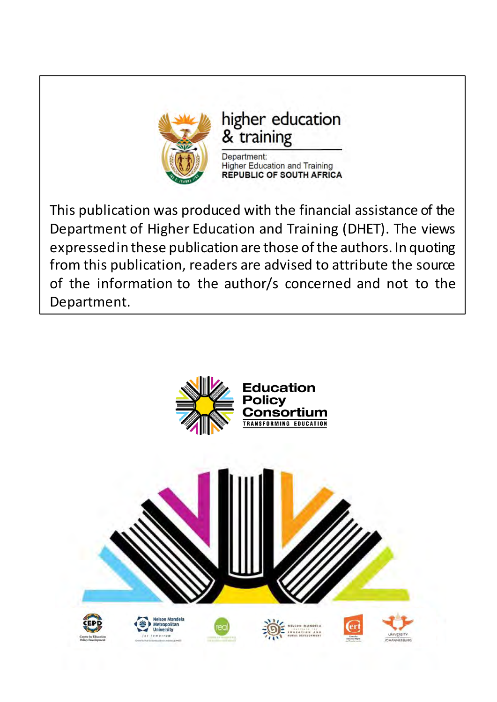

# higher education & training

Department: **Higher Education and Training REPUBLIC OF SOUTH AFRICA** 

This publication was produced with the financial assistance of the Department of Higher Education and Training (DHET). The views expressed in these publication are those of the authors. In quoting from this publication, readers are advised to attribute the source of the information to the author/s concerned and not to the Department.